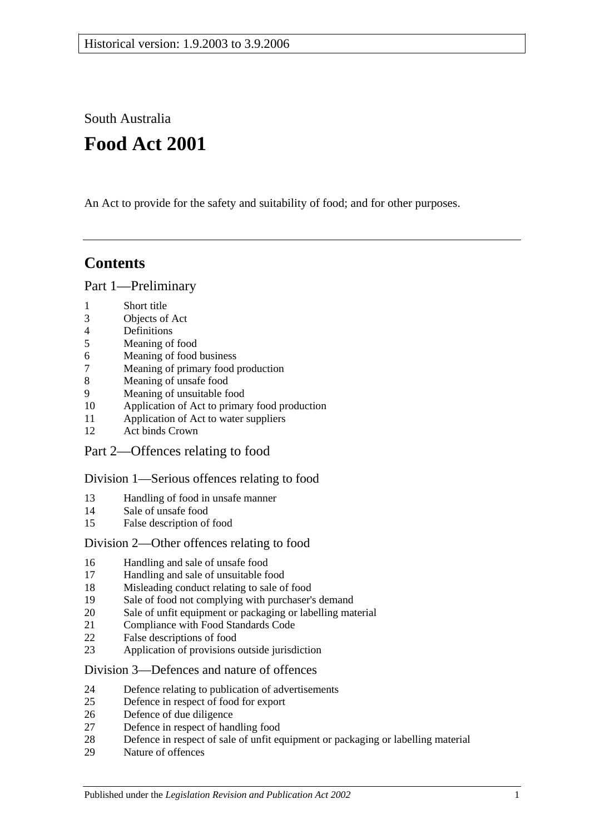South Australia

# **Food Act 2001**

An Act to provide for the safety and suitability of food; and for other purposes.

# **Contents**

[Part 1—Preliminary](#page-3-0)

- [Short title](#page-3-1)
- [Objects of Act](#page-3-2)
- [Definitions](#page-3-3)
- [Meaning of food](#page-7-0)
- [Meaning of food business](#page-7-1)
- [Meaning of primary food production](#page-7-2)
- [Meaning of unsafe food](#page-8-0)
- [Meaning of unsuitable food](#page-9-0)
- [Application of Act to primary food production](#page-10-0)
- [Application of Act to water suppliers](#page-10-1)
- [Act binds Crown](#page-10-2)
- [Part 2—Offences relating to food](#page-10-3)

#### [Division 1—Serious offences relating to food](#page-10-4)

- [Handling of food in unsafe manner](#page-10-5)
- [Sale of unsafe food](#page-11-0)
- [False description of food](#page-11-1)

#### [Division 2—Other offences relating to food](#page-12-0)

- [Handling and sale of unsafe food](#page-12-1)
- [Handling and sale of unsuitable food](#page-12-2)
- [Misleading conduct relating to sale of food](#page-12-3)
- [Sale of food not complying with purchaser's demand](#page-13-0)
- [Sale of unfit equipment or packaging or labelling material](#page-13-1)
- [Compliance with Food Standards Code](#page-14-0)
- [False descriptions of food](#page-14-1)
- [Application of provisions outside jurisdiction](#page-15-0)

#### [Division 3—Defences and nature of offences](#page-15-1)

- [Defence relating to publication of advertisements](#page-15-2)
- [Defence in respect of food for export](#page-15-3)
- [Defence of due diligence](#page-16-0)
- [Defence in respect of handling food](#page-17-0)
- [Defence in respect of sale of unfit equipment or packaging or labelling material](#page-17-1)
- [Nature of offences](#page-17-2)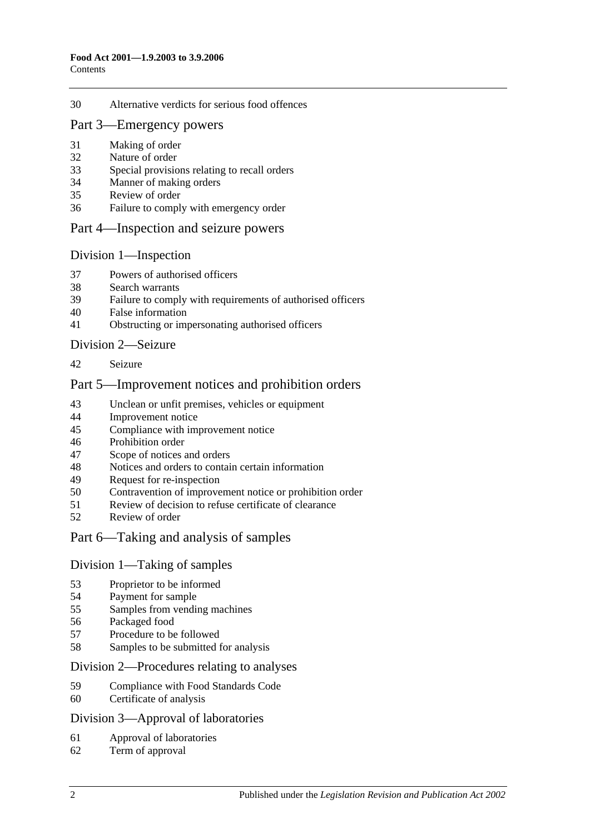#### [Alternative verdicts for serious food offences](#page-17-3)

#### [Part 3—Emergency powers](#page-18-0)

- [Making of order](#page-18-1)
- [Nature of order](#page-18-2)
- [Special provisions relating to recall orders](#page-18-3)
- [Manner of making orders](#page-19-0)
- [Review of order](#page-19-1)
- [Failure to comply with emergency order](#page-20-0)

#### [Part 4—Inspection and seizure powers](#page-20-1)

#### [Division 1—Inspection](#page-20-2)

- [Powers of authorised officers](#page-20-3)
- [Search warrants](#page-22-0)
- [Failure to comply with requirements of authorised officers](#page-22-1)
- [False information](#page-22-2)
- [Obstructing or impersonating authorised officers](#page-22-3)

#### [Division 2—Seizure](#page-23-0)

[Seizure](#page-23-1)

#### [Part 5—Improvement notices and prohibition orders](#page-25-0)

- [Unclean or unfit premises, vehicles or equipment](#page-25-1)
- [Improvement notice](#page-25-2)
- [Compliance with improvement notice](#page-26-0)
- [Prohibition order](#page-26-1)
- [Scope of notices and orders](#page-27-0)
- [Notices and orders to contain certain information](#page-27-1)
- [Request for re-inspection](#page-27-2)
- [Contravention of improvement notice or prohibition order](#page-28-0)<br>51 Review of decision to refuse certificate of clearance
- [Review of decision to refuse certificate of clearance](#page-28-1)
- [Review of order](#page-28-2)

#### [Part 6—Taking and analysis of samples](#page-29-0)

#### [Division 1—Taking of samples](#page-29-1)

- [Proprietor to be informed](#page-29-2)<br>54 Payment for sample
- [Payment for sample](#page-29-3)
- [Samples from vending machines](#page-29-4)
- [Packaged food](#page-29-5)
- Procedure [to be followed](#page-29-6)
- [Samples to be submitted for analysis](#page-30-0)

#### [Division 2—Procedures relating to analyses](#page-30-1)

- [Compliance with Food Standards Code](#page-30-2)
- [Certificate of analysis](#page-30-3)

#### [Division 3—Approval of laboratories](#page-31-0)

- [Approval of laboratories](#page-31-1)
- [Term of approval](#page-31-2)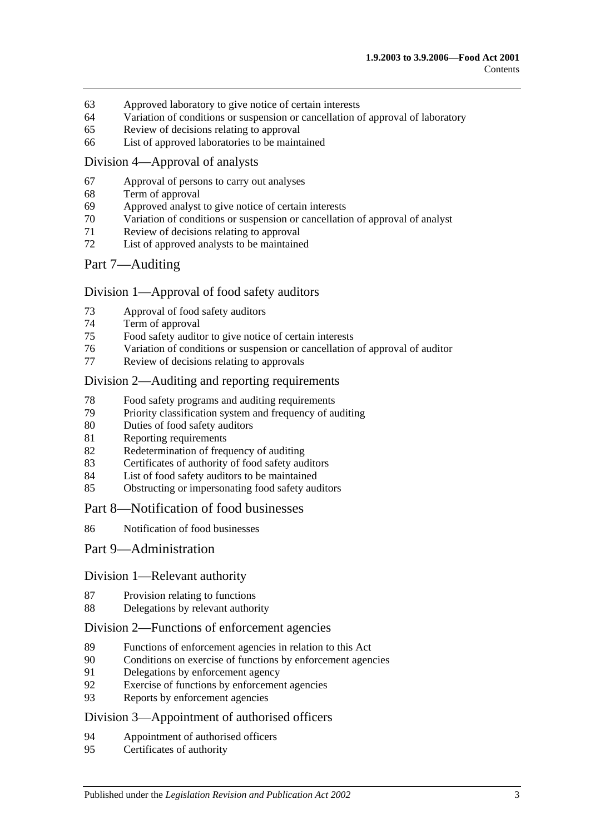- [Approved laboratory to give notice of certain interests](#page-32-0)
- [Variation of conditions or suspension or cancellation of approval of laboratory](#page-32-1)
- [Review of decisions relating to approval](#page-33-0)
- [List of approved laboratories to be maintained](#page-33-1)

#### [Division 4—Approval of analysts](#page-33-2)

- [Approval of persons to carry out analyses](#page-33-3)
- [Term of approval](#page-33-4)
- [Approved analyst to give notice of certain interests](#page-34-0)
- [Variation of conditions or suspension or cancellation of approval of analyst](#page-34-1)
- [Review of decisions relating to approval](#page-34-2)
- [List of approved analysts to be maintained](#page-35-0)

#### [Part 7—Auditing](#page-35-1)

#### [Division 1—Approval of food safety auditors](#page-35-2)

- [Approval of food safety auditors](#page-35-3)
- [Term of approval](#page-35-4)
- [Food safety auditor to give notice of certain interests](#page-36-0)
- [Variation of conditions or suspension or cancellation of approval of auditor](#page-36-1)
- [Review of decisions relating to approvals](#page-37-0)

#### [Division 2—Auditing and reporting requirements](#page-37-1)

- [Food safety programs and auditing requirements](#page-37-2)
- [Priority classification system and frequency of auditing](#page-37-3)
- [Duties of food safety auditors](#page-38-0)
- [Reporting requirements](#page-38-1)
- [Redetermination of frequency of auditing](#page-39-0)
- [Certificates of authority of food safety auditors](#page-40-0)
- [List of food safety auditors to be maintained](#page-40-1)
- [Obstructing or impersonating food safety auditors](#page-40-2)

#### [Part 8—Notification of food businesses](#page-40-3)

[Notification of food businesses](#page-40-4)

#### [Part 9—Administration](#page-41-0)

#### [Division 1—Relevant authority](#page-41-1)

- [Provision relating to functions](#page-41-2)
- [Delegations by relevant authority](#page-41-3)

#### [Division 2—Functions of enforcement agencies](#page-42-0)

- [Functions of enforcement agencies in relation to this Act](#page-42-1)<br>90 Conditions on exercise of functions by enforcement agency
- [Conditions on exercise of functions by enforcement agencies](#page-42-2)
- [Delegations by enforcement agency](#page-42-3)
- [Exercise of functions by enforcement agencies](#page-43-0)
- [Reports by enforcement agencies](#page-43-1)

#### [Division 3—Appointment of authorised officers](#page-43-2)

- [Appointment of authorised officers](#page-43-3)
- [Certificates of authority](#page-43-4)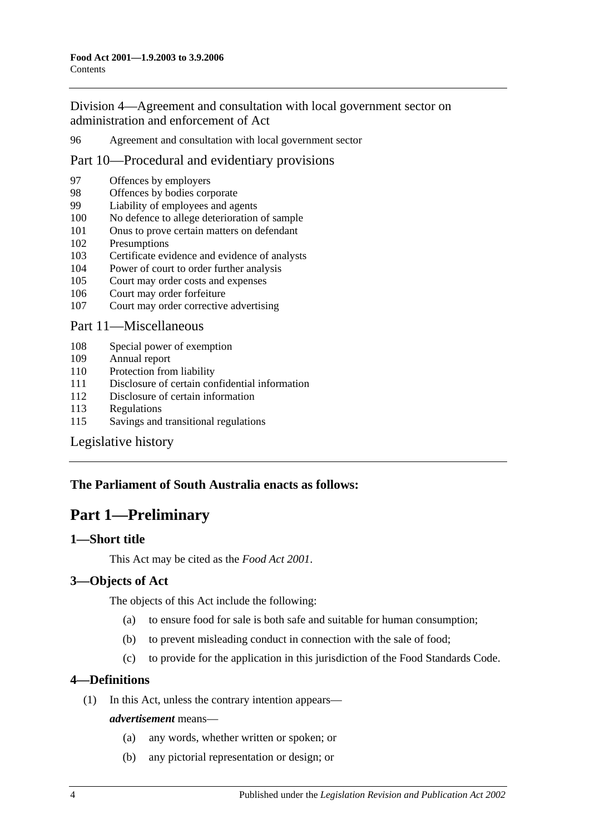[Division 4—Agreement and consultation with local government sector on](#page-43-5)  [administration and enforcement of Act](#page-43-5)

96 [Agreement and consultation with local government sector](#page-43-6)

### [Part 10—Procedural and evidentiary provisions](#page-44-0)

- 97 [Offences by employers](#page-44-1)
- 98 [Offences by bodies corporate](#page-44-2)<br>99 Liability of employees and ag
- [Liability of employees and agents](#page-44-3)
- 100 [No defence to allege deterioration of sample](#page-45-0)
- 101 [Onus to prove certain matters on defendant](#page-45-1)
- 102 [Presumptions](#page-45-2)
- 103 [Certificate evidence and evidence of analysts](#page-46-0)
- 104 [Power of court to order further analysis](#page-47-0)
- 105 [Court may order costs and expenses](#page-47-1)
- 106 [Court may order forfeiture](#page-47-2)
- 107 [Court may order corrective advertising](#page-47-3)

#### [Part 11—Miscellaneous](#page-47-4)

- 108 [Special power of exemption](#page-47-5)
- 109 [Annual report](#page-48-0)
- 110 [Protection from liability](#page-48-1)
- 111 [Disclosure of certain confidential information](#page-48-2)
- 112 [Disclosure of certain information](#page-48-3)
- 113 [Regulations](#page-49-0)
- 115 [Savings and transitional regulations](#page-51-0)

#### [Legislative history](#page-52-0)

#### <span id="page-3-0"></span>**The Parliament of South Australia enacts as follows:**

# **Part 1—Preliminary**

### <span id="page-3-1"></span>**1—Short title**

This Act may be cited as the *Food Act 2001*.

#### <span id="page-3-2"></span>**3—Objects of Act**

The objects of this Act include the following:

- (a) to ensure food for sale is both safe and suitable for human consumption;
- (b) to prevent misleading conduct in connection with the sale of food;
- (c) to provide for the application in this jurisdiction of the Food Standards Code.

#### <span id="page-3-3"></span>**4—Definitions**

(1) In this Act, unless the contrary intention appears—

#### *advertisement* means—

- (a) any words, whether written or spoken; or
- (b) any pictorial representation or design; or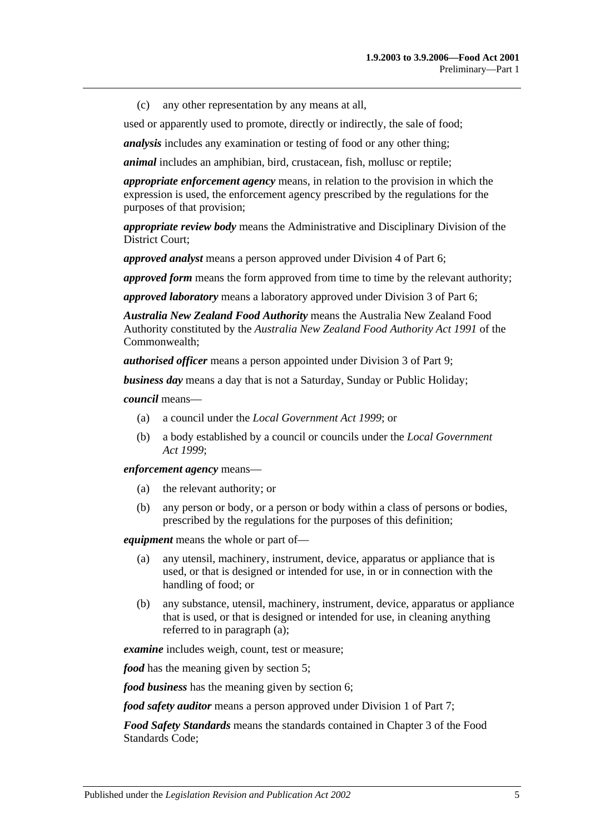(c) any other representation by any means at all,

used or apparently used to promote, directly or indirectly, the sale of food;

*analysis* includes any examination or testing of food or any other thing;

*animal* includes an amphibian, bird, crustacean, fish, mollusc or reptile;

*appropriate enforcement agency* means, in relation to the provision in which the expression is used, the enforcement agency prescribed by the regulations for the purposes of that provision;

*appropriate review body* means the Administrative and Disciplinary Division of the District Court;

*approved analyst* means a person approved under [Division 4](#page-33-2) of [Part 6;](#page-29-0)

*approved form* means the form approved from time to time by the relevant authority;

*approved laboratory* means a laboratory approved under [Division 3](#page-31-0) of [Part 6;](#page-29-0)

*Australia New Zealand Food Authority* means the Australia New Zealand Food Authority constituted by the *Australia New Zealand Food Authority Act 1991* of the Commonwealth;

*authorised officer* means a person appointed under [Division 3](#page-43-2) of [Part 9;](#page-41-0)

*business day* means a day that is not a Saturday, Sunday or Public Holiday;

*council* means—

- (a) a council under the *[Local Government Act](http://www.legislation.sa.gov.au/index.aspx?action=legref&type=act&legtitle=Local%20Government%20Act%201999) 1999*; or
- (b) a body established by a council or councils under the *[Local Government](http://www.legislation.sa.gov.au/index.aspx?action=legref&type=act&legtitle=Local%20Government%20Act%201999)  Act [1999](http://www.legislation.sa.gov.au/index.aspx?action=legref&type=act&legtitle=Local%20Government%20Act%201999)*;

*enforcement agency* means—

- (a) the relevant authority; or
- (b) any person or body, or a person or body within a class of persons or bodies, prescribed by the regulations for the purposes of this definition;

<span id="page-4-0"></span>*equipment* means the whole or part of—

- (a) any utensil, machinery, instrument, device, apparatus or appliance that is used, or that is designed or intended for use, in or in connection with the handling of food; or
- (b) any substance, utensil, machinery, instrument, device, apparatus or appliance that is used, or that is designed or intended for use, in cleaning anything referred to in [paragraph](#page-4-0) (a);

*examine* includes weigh, count, test or measure;

*food* has the meaning given by [section](#page-7-0) 5;

*food business* has the meaning given by [section](#page-7-1) 6;

*food safety auditor* means a person approved under [Division 1](#page-35-2) of [Part 7;](#page-35-1)

*Food Safety Standards* means the standards contained in Chapter 3 of the Food Standards Code;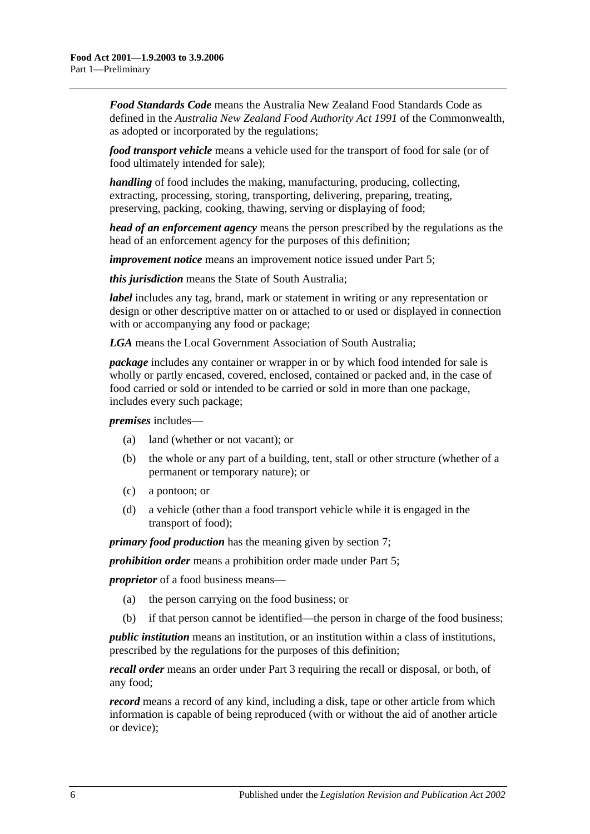*Food Standards Code* means the Australia New Zealand Food Standards Code as defined in the *Australia New Zealand Food Authority Act 1991* of the Commonwealth, as adopted or incorporated by the regulations;

*food transport vehicle* means a vehicle used for the transport of food for sale (or of food ultimately intended for sale);

*handling* of food includes the making, manufacturing, producing, collecting, extracting, processing, storing, transporting, delivering, preparing, treating, preserving, packing, cooking, thawing, serving or displaying of food;

*head of an enforcement agency* means the person prescribed by the regulations as the head of an enforcement agency for the purposes of this definition;

*improvement notice* means an improvement notice issued under [Part 5;](#page-25-0)

*this jurisdiction* means the State of South Australia;

*label* includes any tag, brand, mark or statement in writing or any representation or design or other descriptive matter on or attached to or used or displayed in connection with or accompanying any food or package;

*LGA* means the Local Government Association of South Australia;

*package* includes any container or wrapper in or by which food intended for sale is wholly or partly encased, covered, enclosed, contained or packed and, in the case of food carried or sold or intended to be carried or sold in more than one package, includes every such package;

*premises* includes—

- (a) land (whether or not vacant); or
- (b) the whole or any part of a building, tent, stall or other structure (whether of a permanent or temporary nature); or
- (c) a pontoon; or
- (d) a vehicle (other than a food transport vehicle while it is engaged in the transport of food);

*primary food production* has the meaning given by [section](#page-7-2) 7;

*prohibition order* means a prohibition order made under [Part 5;](#page-25-0)

*proprietor* of a food business means—

- (a) the person carrying on the food business; or
- (b) if that person cannot be identified—the person in charge of the food business;

*public institution* means an institution, or an institution within a class of institutions, prescribed by the regulations for the purposes of this definition;

*recall order* means an order under [Part 3](#page-18-0) requiring the recall or disposal, or both, of any food;

*record* means a record of any kind, including a disk, tape or other article from which information is capable of being reproduced (with or without the aid of another article or device);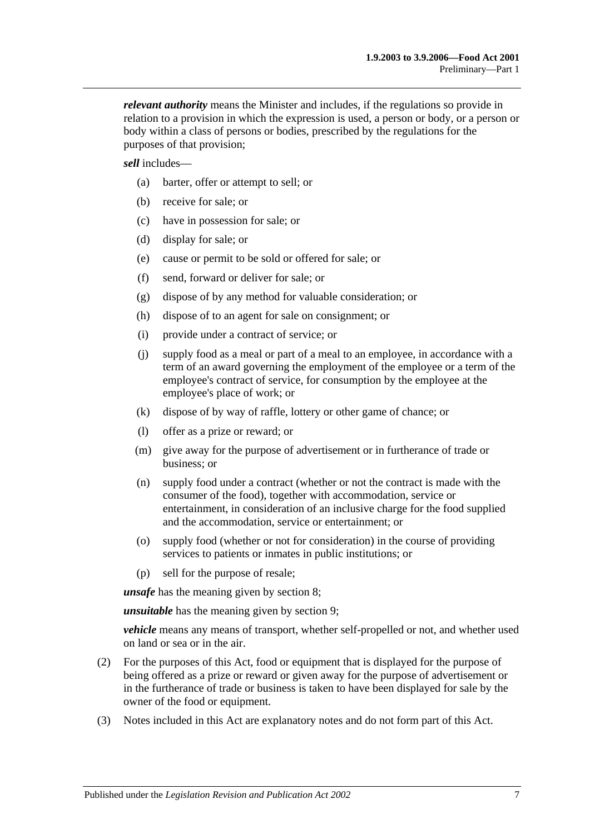*relevant authority* means the Minister and includes, if the regulations so provide in relation to a provision in which the expression is used, a person or body, or a person or body within a class of persons or bodies, prescribed by the regulations for the purposes of that provision;

*sell* includes—

- (a) barter, offer or attempt to sell; or
- (b) receive for sale; or
- (c) have in possession for sale; or
- (d) display for sale; or
- (e) cause or permit to be sold or offered for sale; or
- (f) send, forward or deliver for sale; or
- (g) dispose of by any method for valuable consideration; or
- (h) dispose of to an agent for sale on consignment; or
- (i) provide under a contract of service; or
- (j) supply food as a meal or part of a meal to an employee, in accordance with a term of an award governing the employment of the employee or a term of the employee's contract of service, for consumption by the employee at the employee's place of work; or
- (k) dispose of by way of raffle, lottery or other game of chance; or
- (l) offer as a prize or reward; or
- (m) give away for the purpose of advertisement or in furtherance of trade or business; or
- (n) supply food under a contract (whether or not the contract is made with the consumer of the food), together with accommodation, service or entertainment, in consideration of an inclusive charge for the food supplied and the accommodation, service or entertainment; or
- (o) supply food (whether or not for consideration) in the course of providing services to patients or inmates in public institutions; or
- (p) sell for the purpose of resale;

*unsafe* has the meaning given by [section](#page-8-0) 8;

*unsuitable* has the meaning given by [section](#page-9-0) 9;

*vehicle* means any means of transport, whether self-propelled or not, and whether used on land or sea or in the air.

- (2) For the purposes of this Act, food or equipment that is displayed for the purpose of being offered as a prize or reward or given away for the purpose of advertisement or in the furtherance of trade or business is taken to have been displayed for sale by the owner of the food or equipment.
- (3) Notes included in this Act are explanatory notes and do not form part of this Act.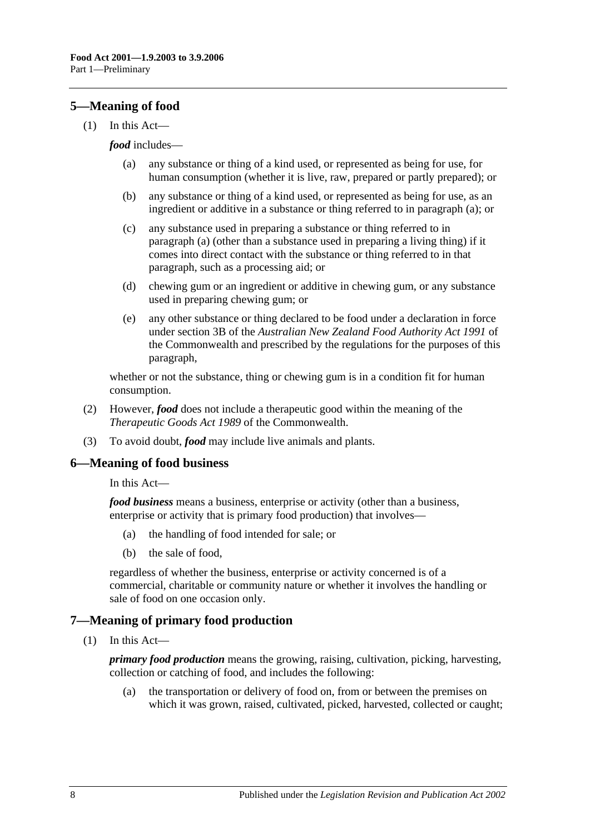## <span id="page-7-0"></span>**5—Meaning of food**

<span id="page-7-3"></span>(1) In this Act—

#### *food* includes—

- (a) any substance or thing of a kind used, or represented as being for use, for human consumption (whether it is live, raw, prepared or partly prepared); or
- (b) any substance or thing of a kind used, or represented as being for use, as an ingredient or additive in a substance or thing referred to in [paragraph](#page-7-3) (a); or
- (c) any substance used in preparing a substance or thing referred to in [paragraph](#page-7-3) (a) (other than a substance used in preparing a living thing) if it comes into direct contact with the substance or thing referred to in that paragraph, such as a processing aid; or
- (d) chewing gum or an ingredient or additive in chewing gum, or any substance used in preparing chewing gum; or
- (e) any other substance or thing declared to be food under a declaration in force under section 3B of the *Australian New Zealand Food Authority Act 1991* of the Commonwealth and prescribed by the regulations for the purposes of this paragraph,

whether or not the substance, thing or chewing gum is in a condition fit for human consumption.

- (2) However, *food* does not include a therapeutic good within the meaning of the *Therapeutic Goods Act 1989* of the Commonwealth.
- (3) To avoid doubt, *food* may include live animals and plants.

#### <span id="page-7-1"></span>**6—Meaning of food business**

#### In this Act—

*food business* means a business, enterprise or activity (other than a business, enterprise or activity that is primary food production) that involves—

- (a) the handling of food intended for sale; or
- (b) the sale of food,

regardless of whether the business, enterprise or activity concerned is of a commercial, charitable or community nature or whether it involves the handling or sale of food on one occasion only.

#### <span id="page-7-2"></span>**7—Meaning of primary food production**

(1) In this Act—

*primary food production* means the growing, raising, cultivation, picking, harvesting, collection or catching of food, and includes the following:

(a) the transportation or delivery of food on, from or between the premises on which it was grown, raised, cultivated, picked, harvested, collected or caught;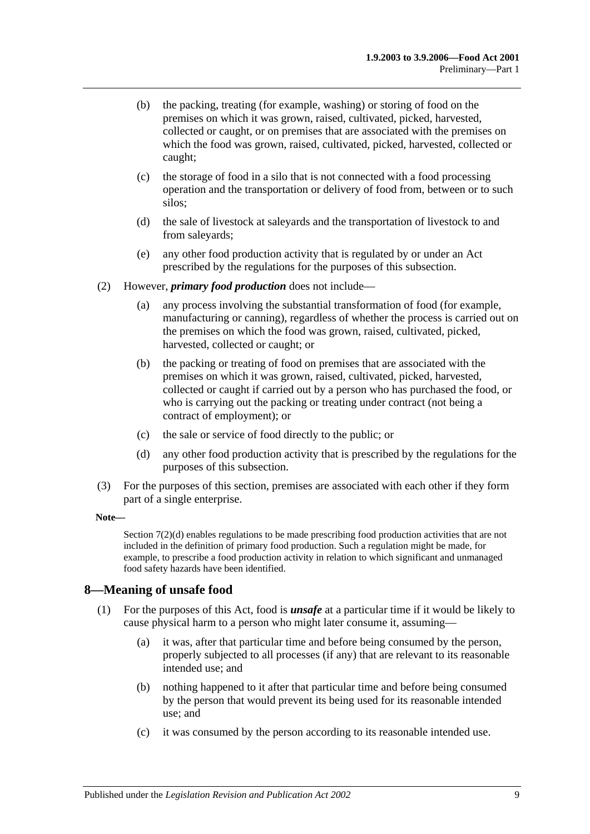- (b) the packing, treating (for example, washing) or storing of food on the premises on which it was grown, raised, cultivated, picked, harvested, collected or caught, or on premises that are associated with the premises on which the food was grown, raised, cultivated, picked, harvested, collected or caught;
- (c) the storage of food in a silo that is not connected with a food processing operation and the transportation or delivery of food from, between or to such silos;
- (d) the sale of livestock at saleyards and the transportation of livestock to and from saleyards;
- (e) any other food production activity that is regulated by or under an Act prescribed by the regulations for the purposes of this subsection.
- (2) However, *primary food production* does not include—
	- (a) any process involving the substantial transformation of food (for example, manufacturing or canning), regardless of whether the process is carried out on the premises on which the food was grown, raised, cultivated, picked, harvested, collected or caught; or
	- (b) the packing or treating of food on premises that are associated with the premises on which it was grown, raised, cultivated, picked, harvested, collected or caught if carried out by a person who has purchased the food, or who is carrying out the packing or treating under contract (not being a contract of employment); or
	- (c) the sale or service of food directly to the public; or
	- (d) any other food production activity that is prescribed by the regulations for the purposes of this subsection.
- <span id="page-8-1"></span>(3) For the purposes of this section, premises are associated with each other if they form part of a single enterprise.

#### **Note—**

[Section](#page-8-1) 7(2)(d) enables regulations to be made prescribing food production activities that are not included in the definition of primary food production. Such a regulation might be made, for example, to prescribe a food production activity in relation to which significant and unmanaged food safety hazards have been identified.

#### <span id="page-8-2"></span><span id="page-8-0"></span>**8—Meaning of unsafe food**

- (1) For the purposes of this Act, food is *unsafe* at a particular time if it would be likely to cause physical harm to a person who might later consume it, assuming—
	- (a) it was, after that particular time and before being consumed by the person, properly subjected to all processes (if any) that are relevant to its reasonable intended use; and
	- (b) nothing happened to it after that particular time and before being consumed by the person that would prevent its being used for its reasonable intended use; and
	- (c) it was consumed by the person according to its reasonable intended use.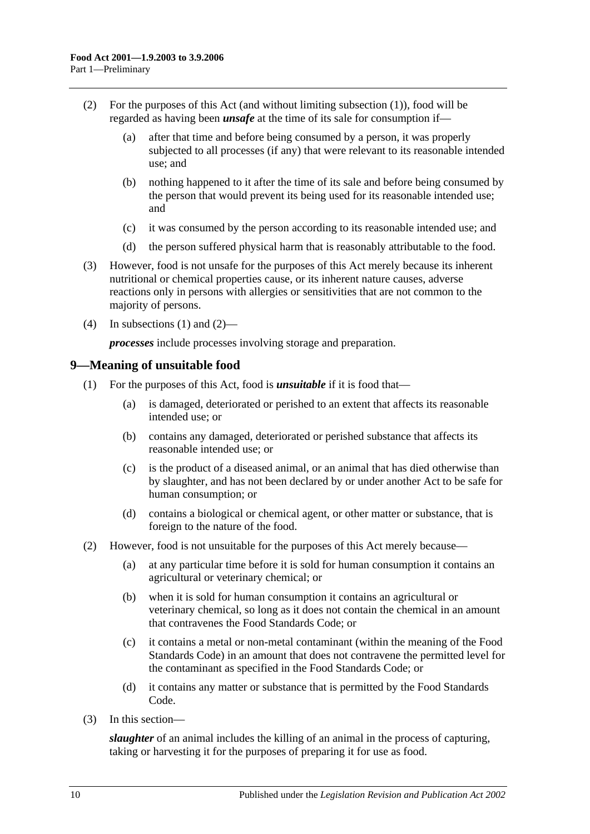- <span id="page-9-1"></span>(2) For the purposes of this Act (and without limiting [subsection](#page-8-2) (1)), food will be regarded as having been *unsafe* at the time of its sale for consumption if—
	- (a) after that time and before being consumed by a person, it was properly subjected to all processes (if any) that were relevant to its reasonable intended use; and
	- (b) nothing happened to it after the time of its sale and before being consumed by the person that would prevent its being used for its reasonable intended use; and
	- (c) it was consumed by the person according to its reasonable intended use; and
	- (d) the person suffered physical harm that is reasonably attributable to the food.
- (3) However, food is not unsafe for the purposes of this Act merely because its inherent nutritional or chemical properties cause, or its inherent nature causes, adverse reactions only in persons with allergies or sensitivities that are not common to the majority of persons.
- (4) In [subsections](#page-8-2) (1) and [\(2\)—](#page-9-1)

*processes* include processes involving storage and preparation.

#### <span id="page-9-0"></span>**9—Meaning of unsuitable food**

- (1) For the purposes of this Act, food is *unsuitable* if it is food that—
	- (a) is damaged, deteriorated or perished to an extent that affects its reasonable intended use; or
	- (b) contains any damaged, deteriorated or perished substance that affects its reasonable intended use; or
	- (c) is the product of a diseased animal, or an animal that has died otherwise than by slaughter, and has not been declared by or under another Act to be safe for human consumption; or
	- (d) contains a biological or chemical agent, or other matter or substance, that is foreign to the nature of the food.
- (2) However, food is not unsuitable for the purposes of this Act merely because—
	- (a) at any particular time before it is sold for human consumption it contains an agricultural or veterinary chemical; or
	- (b) when it is sold for human consumption it contains an agricultural or veterinary chemical, so long as it does not contain the chemical in an amount that contravenes the Food Standards Code; or
	- (c) it contains a metal or non-metal contaminant (within the meaning of the Food Standards Code) in an amount that does not contravene the permitted level for the contaminant as specified in the Food Standards Code; or
	- (d) it contains any matter or substance that is permitted by the Food Standards Code.
- (3) In this section—

*slaughter* of an animal includes the killing of an animal in the process of capturing, taking or harvesting it for the purposes of preparing it for use as food.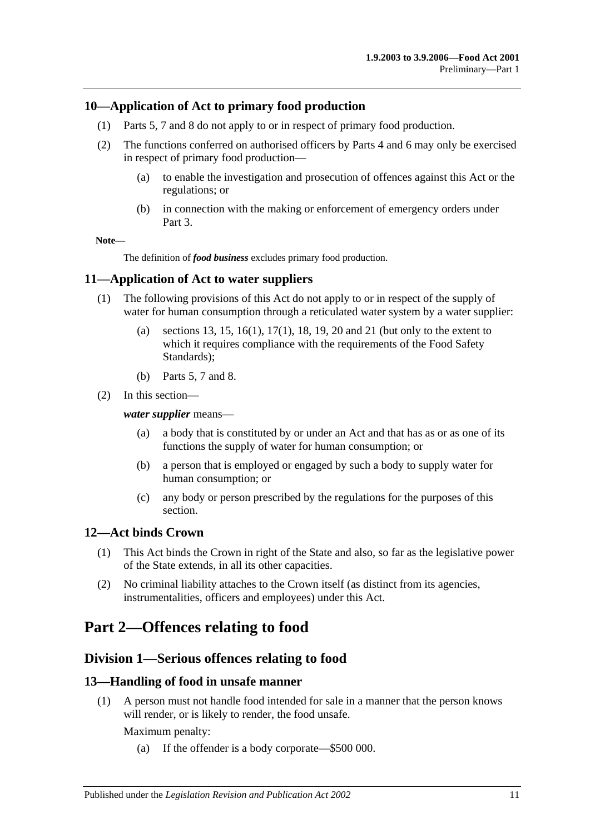#### <span id="page-10-0"></span>**10—Application of Act to primary food production**

- (1) [Parts 5,](#page-25-0) [7](#page-35-1) and [8](#page-40-3) do not apply to or in respect of primary food production.
- (2) The functions conferred on authorised officers by [Parts 4](#page-20-1) and [6](#page-29-0) may only be exercised in respect of primary food production—
	- (a) to enable the investigation and prosecution of offences against this Act or the regulations; or
	- (b) in connection with the making or enforcement of emergency orders under [Part 3.](#page-18-0)

**Note—**

The definition of *food business* excludes primary food production.

#### <span id="page-10-1"></span>**11—Application of Act to water suppliers**

- (1) The following provisions of this Act do not apply to or in respect of the supply of water for human consumption through a reticulated water system by a water supplier:
	- (a) [sections](#page-10-5) 13, [15,](#page-11-1) [16\(1\),](#page-12-4) [17\(1\),](#page-12-5) [18,](#page-12-3) [19,](#page-13-0) [20](#page-13-1) and [21](#page-14-0) (but only to the extent to which it requires compliance with the requirements of the Food Safety Standards);
	- (b) [Parts 5,](#page-25-0) [7](#page-35-1) and [8.](#page-40-3)
- (2) In this section—

#### *water supplier* means—

- (a) a body that is constituted by or under an Act and that has as or as one of its functions the supply of water for human consumption; or
- (b) a person that is employed or engaged by such a body to supply water for human consumption; or
- (c) any body or person prescribed by the regulations for the purposes of this section.

#### <span id="page-10-2"></span>**12—Act binds Crown**

- (1) This Act binds the Crown in right of the State and also, so far as the legislative power of the State extends, in all its other capacities.
- (2) No criminal liability attaches to the Crown itself (as distinct from its agencies, instrumentalities, officers and employees) under this Act.

# <span id="page-10-4"></span><span id="page-10-3"></span>**Part 2—Offences relating to food**

### **Division 1—Serious offences relating to food**

#### <span id="page-10-5"></span>**13—Handling of food in unsafe manner**

(1) A person must not handle food intended for sale in a manner that the person knows will render, or is likely to render, the food unsafe.

Maximum penalty:

(a) If the offender is a body corporate—\$500 000.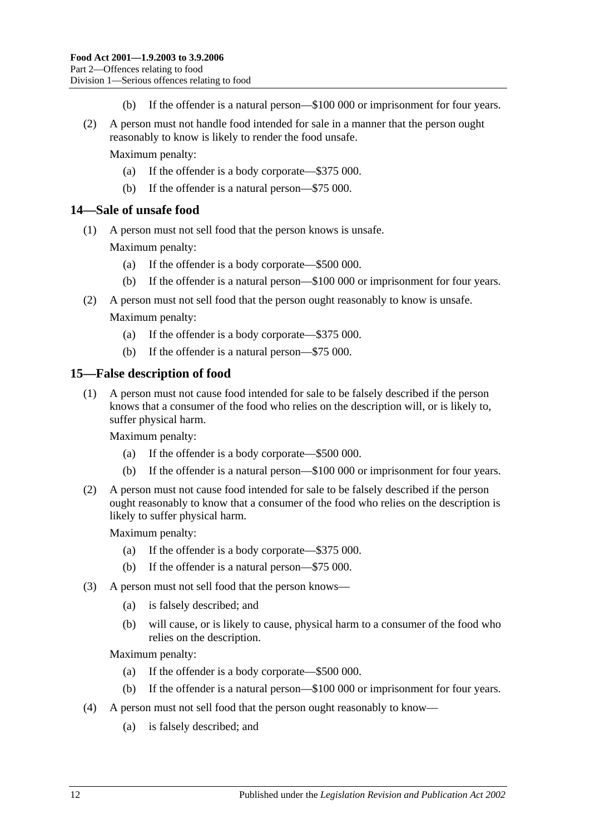- (b) If the offender is a natural person—\$100 000 or imprisonment for four years.
- (2) A person must not handle food intended for sale in a manner that the person ought reasonably to know is likely to render the food unsafe.

Maximum penalty:

- (a) If the offender is a body corporate—\$375 000.
- (b) If the offender is a natural person—\$75 000.

#### <span id="page-11-0"></span>**14—Sale of unsafe food**

(1) A person must not sell food that the person knows is unsafe.

Maximum penalty:

- (a) If the offender is a body corporate—\$500 000.
- (b) If the offender is a natural person—\$100 000 or imprisonment for four years.
- (2) A person must not sell food that the person ought reasonably to know is unsafe. Maximum penalty:
	- (a) If the offender is a body corporate—\$375 000.
	- (b) If the offender is a natural person—\$75 000.

#### <span id="page-11-1"></span>**15—False description of food**

(1) A person must not cause food intended for sale to be falsely described if the person knows that a consumer of the food who relies on the description will, or is likely to, suffer physical harm.

Maximum penalty:

- (a) If the offender is a body corporate—\$500 000.
- (b) If the offender is a natural person—\$100 000 or imprisonment for four years.
- (2) A person must not cause food intended for sale to be falsely described if the person ought reasonably to know that a consumer of the food who relies on the description is likely to suffer physical harm.

Maximum penalty:

- (a) If the offender is a body corporate—\$375 000.
- (b) If the offender is a natural person—\$75 000.
- <span id="page-11-2"></span>(3) A person must not sell food that the person knows—
	- (a) is falsely described; and
	- (b) will cause, or is likely to cause, physical harm to a consumer of the food who relies on the description.

Maximum penalty:

- (a) If the offender is a body corporate—\$500 000.
- (b) If the offender is a natural person—\$100 000 or imprisonment for four years.
- <span id="page-11-3"></span>(4) A person must not sell food that the person ought reasonably to know—
	- (a) is falsely described; and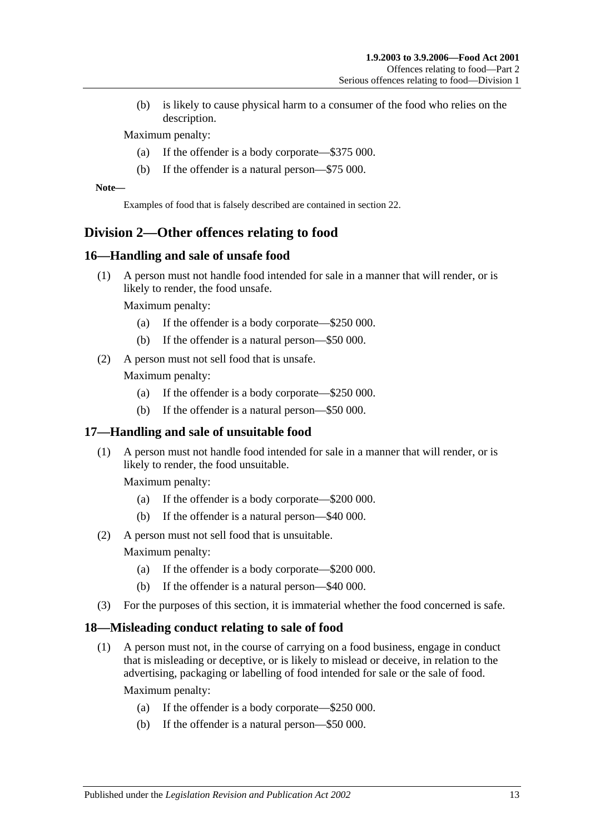(b) is likely to cause physical harm to a consumer of the food who relies on the description.

Maximum penalty:

- (a) If the offender is a body corporate—\$375 000.
- (b) If the offender is a natural person—\$75 000.

**Note—**

Examples of food that is falsely described are contained in [section](#page-14-1) 22.

## <span id="page-12-0"></span>**Division 2—Other offences relating to food**

#### <span id="page-12-4"></span><span id="page-12-1"></span>**16—Handling and sale of unsafe food**

(1) A person must not handle food intended for sale in a manner that will render, or is likely to render, the food unsafe.

Maximum penalty:

- (a) If the offender is a body corporate—\$250 000.
- (b) If the offender is a natural person—\$50 000.
- <span id="page-12-7"></span>(2) A person must not sell food that is unsafe.

Maximum penalty:

- (a) If the offender is a body corporate—\$250 000.
- (b) If the offender is a natural person—\$50 000.

#### <span id="page-12-5"></span><span id="page-12-2"></span>**17—Handling and sale of unsuitable food**

(1) A person must not handle food intended for sale in a manner that will render, or is likely to render, the food unsuitable.

Maximum penalty:

- (a) If the offender is a body corporate—\$200 000.
- (b) If the offender is a natural person—\$40 000.
- (2) A person must not sell food that is unsuitable.

Maximum penalty:

- (a) If the offender is a body corporate—\$200 000.
- (b) If the offender is a natural person—\$40 000.
- (3) For the purposes of this section, it is immaterial whether the food concerned is safe.

#### <span id="page-12-6"></span><span id="page-12-3"></span>**18—Misleading conduct relating to sale of food**

(1) A person must not, in the course of carrying on a food business, engage in conduct that is misleading or deceptive, or is likely to mislead or deceive, in relation to the advertising, packaging or labelling of food intended for sale or the sale of food.

Maximum penalty:

- (a) If the offender is a body corporate—\$250 000.
- (b) If the offender is a natural person—\$50 000.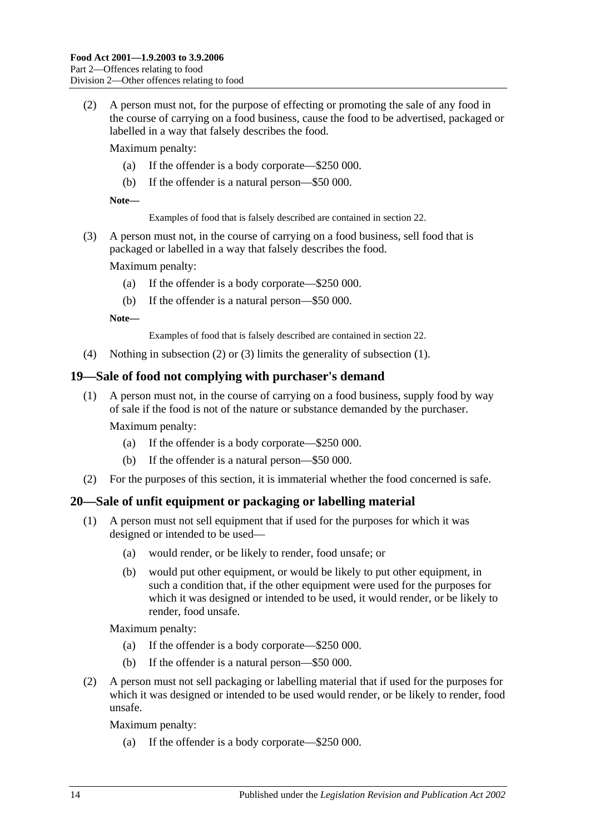<span id="page-13-2"></span>(2) A person must not, for the purpose of effecting or promoting the sale of any food in the course of carrying on a food business, cause the food to be advertised, packaged or labelled in a way that falsely describes the food.

Maximum penalty:

- (a) If the offender is a body corporate—\$250 000.
- (b) If the offender is a natural person—\$50 000.

**Note—**

Examples of food that is falsely described are contained in [section](#page-14-1) 22.

<span id="page-13-3"></span>(3) A person must not, in the course of carrying on a food business, sell food that is packaged or labelled in a way that falsely describes the food.

Maximum penalty:

- (a) If the offender is a body corporate—\$250 000.
- (b) If the offender is a natural person—\$50 000.

**Note—**

Examples of food that is falsely described are contained in [section](#page-14-1) 22.

(4) Nothing in [subsection](#page-13-2) (2) or [\(3\)](#page-13-3) limits the generality of [subsection](#page-12-6) (1).

#### <span id="page-13-0"></span>**19—Sale of food not complying with purchaser's demand**

(1) A person must not, in the course of carrying on a food business, supply food by way of sale if the food is not of the nature or substance demanded by the purchaser.

Maximum penalty:

- (a) If the offender is a body corporate—\$250 000.
- (b) If the offender is a natural person—\$50 000.
- (2) For the purposes of this section, it is immaterial whether the food concerned is safe.

#### <span id="page-13-4"></span><span id="page-13-1"></span>**20—Sale of unfit equipment or packaging or labelling material**

- (1) A person must not sell equipment that if used for the purposes for which it was designed or intended to be used—
	- (a) would render, or be likely to render, food unsafe; or
	- (b) would put other equipment, or would be likely to put other equipment, in such a condition that, if the other equipment were used for the purposes for which it was designed or intended to be used, it would render, or be likely to render, food unsafe.

Maximum penalty:

- (a) If the offender is a body corporate—\$250 000.
- (b) If the offender is a natural person—\$50 000.
- <span id="page-13-5"></span>(2) A person must not sell packaging or labelling material that if used for the purposes for which it was designed or intended to be used would render, or be likely to render, food unsafe.

Maximum penalty:

(a) If the offender is a body corporate—\$250 000.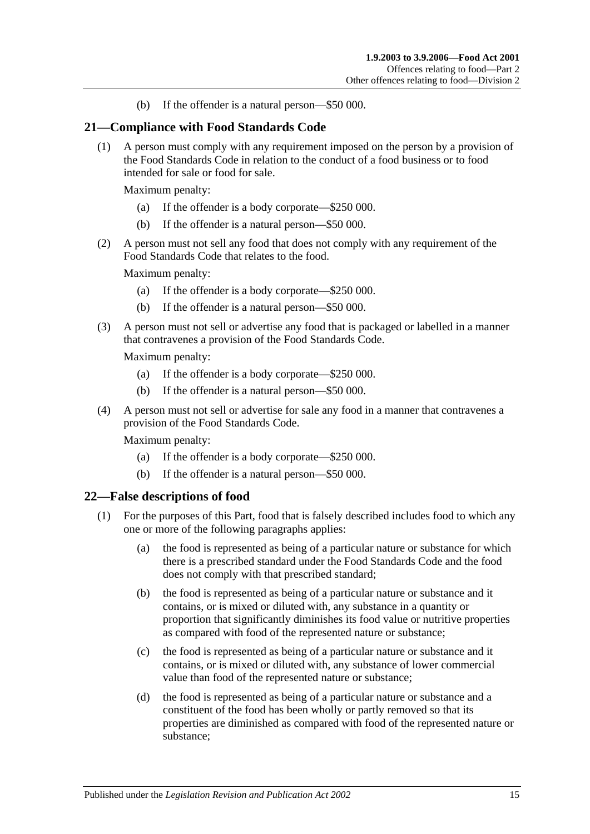(b) If the offender is a natural person—\$50 000.

#### <span id="page-14-0"></span>**21—Compliance with Food Standards Code**

(1) A person must comply with any requirement imposed on the person by a provision of the Food Standards Code in relation to the conduct of a food business or to food intended for sale or food for sale.

Maximum penalty:

- (a) If the offender is a body corporate—\$250 000.
- (b) If the offender is a natural person—\$50 000.
- (2) A person must not sell any food that does not comply with any requirement of the Food Standards Code that relates to the food.

Maximum penalty:

- (a) If the offender is a body corporate—\$250 000.
- (b) If the offender is a natural person—\$50 000.
- (3) A person must not sell or advertise any food that is packaged or labelled in a manner that contravenes a provision of the Food Standards Code.

Maximum penalty:

- (a) If the offender is a body corporate—\$250 000.
- (b) If the offender is a natural person—\$50 000.
- (4) A person must not sell or advertise for sale any food in a manner that contravenes a provision of the Food Standards Code.

Maximum penalty:

- (a) If the offender is a body corporate—\$250 000.
- (b) If the offender is a natural person—\$50 000.

#### <span id="page-14-2"></span><span id="page-14-1"></span>**22—False descriptions of food**

- (1) For the purposes of this Part, food that is falsely described includes food to which any one or more of the following paragraphs applies:
	- (a) the food is represented as being of a particular nature or substance for which there is a prescribed standard under the Food Standards Code and the food does not comply with that prescribed standard;
	- (b) the food is represented as being of a particular nature or substance and it contains, or is mixed or diluted with, any substance in a quantity or proportion that significantly diminishes its food value or nutritive properties as compared with food of the represented nature or substance;
	- (c) the food is represented as being of a particular nature or substance and it contains, or is mixed or diluted with, any substance of lower commercial value than food of the represented nature or substance;
	- (d) the food is represented as being of a particular nature or substance and a constituent of the food has been wholly or partly removed so that its properties are diminished as compared with food of the represented nature or substance;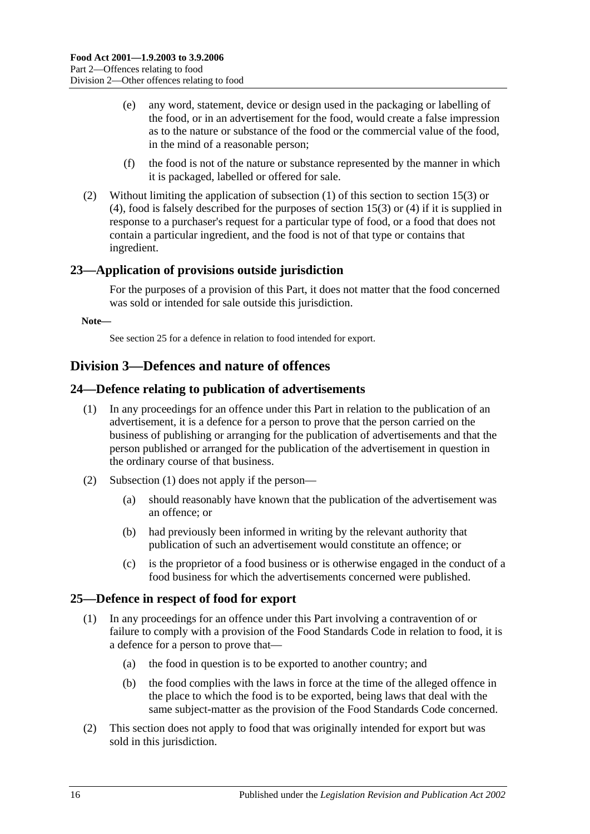- (e) any word, statement, device or design used in the packaging or labelling of the food, or in an advertisement for the food, would create a false impression as to the nature or substance of the food or the commercial value of the food, in the mind of a reasonable person;
- (f) the food is not of the nature or substance represented by the manner in which it is packaged, labelled or offered for sale.
- (2) Without limiting the application of [subsection](#page-14-2) (1) of this section to [section](#page-11-2) 15(3) or [\(4\),](#page-11-3) food is falsely described for the purposes of [section](#page-11-2) 15(3) or [\(4\)](#page-11-3) if it is supplied in response to a purchaser's request for a particular type of food, or a food that does not contain a particular ingredient, and the food is not of that type or contains that ingredient.

## <span id="page-15-0"></span>**23—Application of provisions outside jurisdiction**

For the purposes of a provision of this Part, it does not matter that the food concerned was sold or intended for sale outside this jurisdiction.

**Note—**

Se[e section](#page-15-3) 25 for a defence in relation to food intended for export.

## <span id="page-15-1"></span>**Division 3—Defences and nature of offences**

#### <span id="page-15-4"></span><span id="page-15-2"></span>**24—Defence relating to publication of advertisements**

- (1) In any proceedings for an offence under this Part in relation to the publication of an advertisement, it is a defence for a person to prove that the person carried on the business of publishing or arranging for the publication of advertisements and that the person published or arranged for the publication of the advertisement in question in the ordinary course of that business.
- (2) [Subsection](#page-15-4) (1) does not apply if the person—
	- (a) should reasonably have known that the publication of the advertisement was an offence; or
	- (b) had previously been informed in writing by the relevant authority that publication of such an advertisement would constitute an offence; or
	- (c) is the proprietor of a food business or is otherwise engaged in the conduct of a food business for which the advertisements concerned were published.

#### <span id="page-15-3"></span>**25—Defence in respect of food for export**

- (1) In any proceedings for an offence under this Part involving a contravention of or failure to comply with a provision of the Food Standards Code in relation to food, it is a defence for a person to prove that—
	- (a) the food in question is to be exported to another country; and
	- (b) the food complies with the laws in force at the time of the alleged offence in the place to which the food is to be exported, being laws that deal with the same subject-matter as the provision of the Food Standards Code concerned.
- (2) This section does not apply to food that was originally intended for export but was sold in this jurisdiction.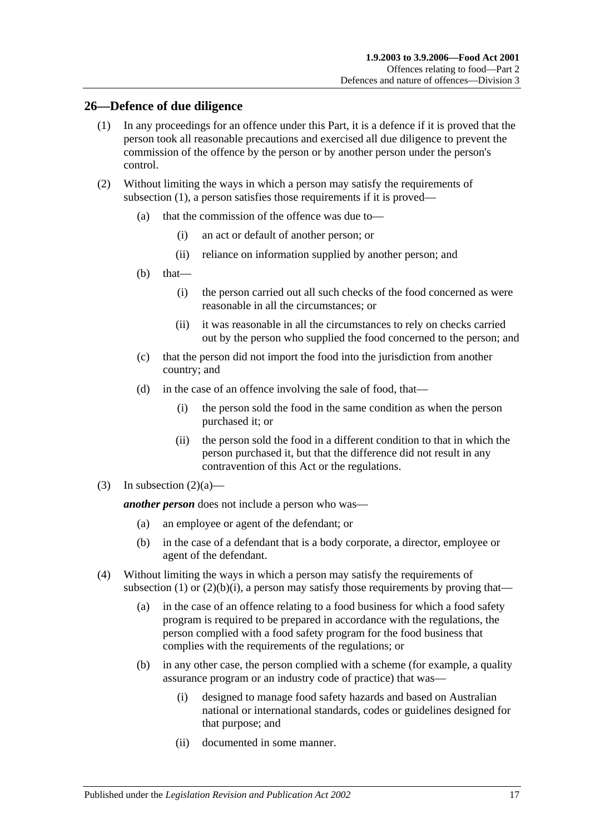#### <span id="page-16-1"></span><span id="page-16-0"></span>**26—Defence of due diligence**

- (1) In any proceedings for an offence under this Part, it is a defence if it is proved that the person took all reasonable precautions and exercised all due diligence to prevent the commission of the offence by the person or by another person under the person's control.
- <span id="page-16-3"></span><span id="page-16-2"></span>(2) Without limiting the ways in which a person may satisfy the requirements of [subsection](#page-16-1) (1), a person satisfies those requirements if it is proved—
	- (a) that the commission of the offence was due to—
		- (i) an act or default of another person; or
		- (ii) reliance on information supplied by another person; and
	- (b) that—
		- (i) the person carried out all such checks of the food concerned as were reasonable in all the circumstances; or
		- (ii) it was reasonable in all the circumstances to rely on checks carried out by the person who supplied the food concerned to the person; and
	- (c) that the person did not import the food into the jurisdiction from another country; and
	- (d) in the case of an offence involving the sale of food, that—
		- (i) the person sold the food in the same condition as when the person purchased it; or
		- (ii) the person sold the food in a different condition to that in which the person purchased it, but that the difference did not result in any contravention of this Act or the regulations.
- (3) In [subsection](#page-16-2)  $(2)(a)$ —

*another person* does not include a person who was—

- (a) an employee or agent of the defendant; or
- (b) in the case of a defendant that is a body corporate, a director, employee or agent of the defendant.
- (4) Without limiting the ways in which a person may satisfy the requirements of [subsection](#page-16-1) (1) or  $(2)(b)(i)$ , a person may satisfy those requirements by proving that—
	- (a) in the case of an offence relating to a food business for which a food safety program is required to be prepared in accordance with the regulations, the person complied with a food safety program for the food business that complies with the requirements of the regulations; or
	- (b) in any other case, the person complied with a scheme (for example, a quality assurance program or an industry code of practice) that was—
		- (i) designed to manage food safety hazards and based on Australian national or international standards, codes or guidelines designed for that purpose; and
		- (ii) documented in some manner.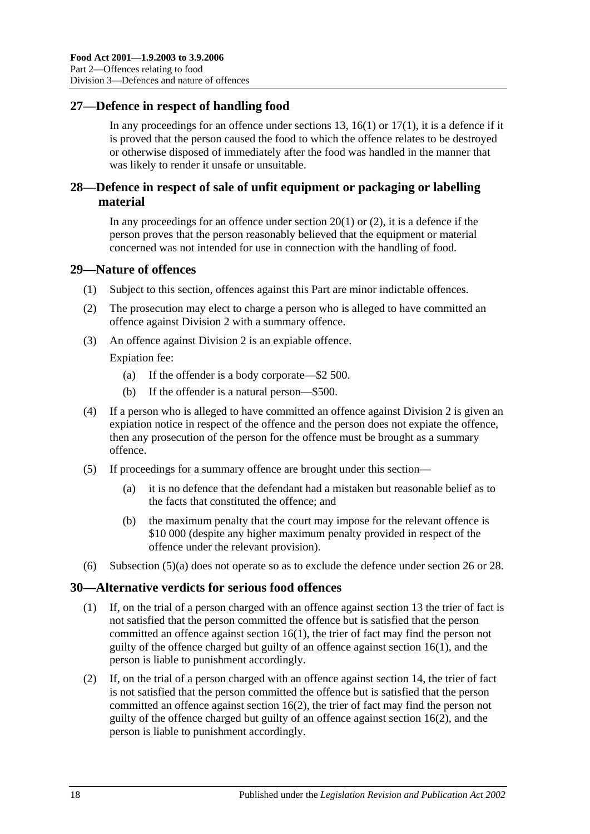## <span id="page-17-0"></span>**27—Defence in respect of handling food**

In any proceedings for an offence under [sections](#page-10-5) 13, [16\(1\)](#page-12-4) or  $17(1)$ , it is a defence if it is proved that the person caused the food to which the offence relates to be destroyed or otherwise disposed of immediately after the food was handled in the manner that was likely to render it unsafe or unsuitable.

## <span id="page-17-1"></span>**28—Defence in respect of sale of unfit equipment or packaging or labelling material**

In any proceedings for an offence under [section](#page-13-4)  $20(1)$  or  $(2)$ , it is a defence if the person proves that the person reasonably believed that the equipment or material concerned was not intended for use in connection with the handling of food.

#### <span id="page-17-2"></span>**29—Nature of offences**

- (1) Subject to this section, offences against this Part are minor indictable offences.
- (2) The prosecution may elect to charge a person who is alleged to have committed an offence against [Division 2](#page-12-0) with a summary offence.
- (3) An offence against [Division 2](#page-12-0) is an expiable offence.

Expiation fee:

- (a) If the offender is a body corporate—\$2 500.
- (b) If the offender is a natural person—\$500.
- (4) If a person who is alleged to have committed an offence against [Division 2](#page-12-0) is given an expiation notice in respect of the offence and the person does not expiate the offence, then any prosecution of the person for the offence must be brought as a summary offence.
- <span id="page-17-4"></span>(5) If proceedings for a summary offence are brought under this section—
	- (a) it is no defence that the defendant had a mistaken but reasonable belief as to the facts that constituted the offence; and
	- (b) the maximum penalty that the court may impose for the relevant offence is \$10 000 (despite any higher maximum penalty provided in respect of the offence under the relevant provision).
- (6) [Subsection](#page-17-4) (5)(a) does not operate so as to exclude the defence under [section](#page-16-0) 26 or [28.](#page-17-1)

#### <span id="page-17-3"></span>**30—Alternative verdicts for serious food offences**

- (1) If, on the trial of a person charged with an offence against [section](#page-10-5) 13 the trier of fact is not satisfied that the person committed the offence but is satisfied that the person committed an offence against [section](#page-12-4) 16(1), the trier of fact may find the person not guilty of the offence charged but guilty of an offence against [section](#page-12-4) 16(1), and the person is liable to punishment accordingly.
- (2) If, on the trial of a person charged with an offence against [section](#page-11-0) 14, the trier of fact is not satisfied that the person committed the offence but is satisfied that the person committed an offence against [section](#page-12-7) 16(2), the trier of fact may find the person not guilty of the offence charged but guilty of an offence against [section](#page-12-7) 16(2), and the person is liable to punishment accordingly.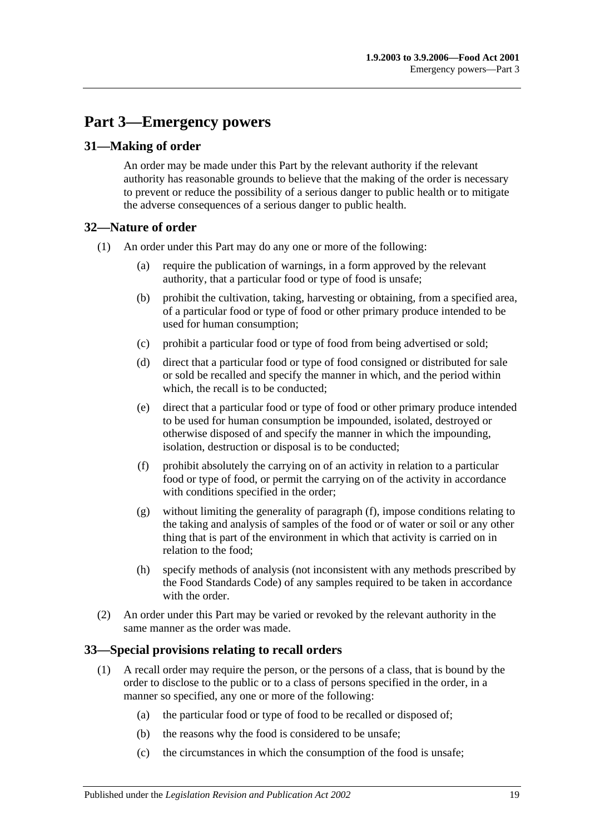# <span id="page-18-0"></span>**Part 3—Emergency powers**

## <span id="page-18-1"></span>**31—Making of order**

An order may be made under this Part by the relevant authority if the relevant authority has reasonable grounds to believe that the making of the order is necessary to prevent or reduce the possibility of a serious danger to public health or to mitigate the adverse consequences of a serious danger to public health.

#### <span id="page-18-2"></span>**32—Nature of order**

- (1) An order under this Part may do any one or more of the following:
	- (a) require the publication of warnings, in a form approved by the relevant authority, that a particular food or type of food is unsafe;
	- (b) prohibit the cultivation, taking, harvesting or obtaining, from a specified area, of a particular food or type of food or other primary produce intended to be used for human consumption;
	- (c) prohibit a particular food or type of food from being advertised or sold;
	- (d) direct that a particular food or type of food consigned or distributed for sale or sold be recalled and specify the manner in which, and the period within which, the recall is to be conducted;
	- (e) direct that a particular food or type of food or other primary produce intended to be used for human consumption be impounded, isolated, destroyed or otherwise disposed of and specify the manner in which the impounding, isolation, destruction or disposal is to be conducted;
	- (f) prohibit absolutely the carrying on of an activity in relation to a particular food or type of food, or permit the carrying on of the activity in accordance with conditions specified in the order;
	- (g) without limiting the generality of [paragraph](#page-18-4) (f), impose conditions relating to the taking and analysis of samples of the food or of water or soil or any other thing that is part of the environment in which that activity is carried on in relation to the food;
	- (h) specify methods of analysis (not inconsistent with any methods prescribed by the Food Standards Code) of any samples required to be taken in accordance with the order
- <span id="page-18-4"></span>(2) An order under this Part may be varied or revoked by the relevant authority in the same manner as the order was made.

#### <span id="page-18-3"></span>**33—Special provisions relating to recall orders**

- (1) A recall order may require the person, or the persons of a class, that is bound by the order to disclose to the public or to a class of persons specified in the order, in a manner so specified, any one or more of the following:
	- (a) the particular food or type of food to be recalled or disposed of;
	- (b) the reasons why the food is considered to be unsafe;
	- (c) the circumstances in which the consumption of the food is unsafe;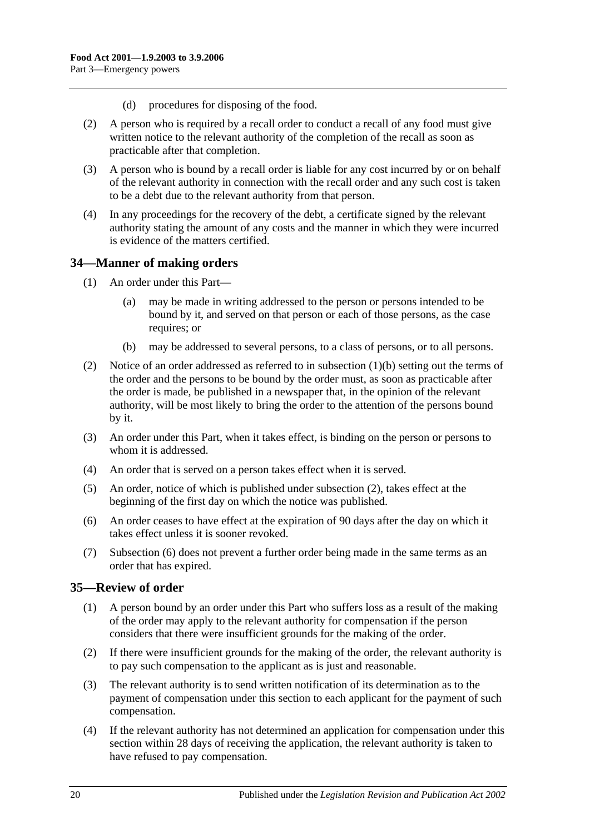- (d) procedures for disposing of the food.
- (2) A person who is required by a recall order to conduct a recall of any food must give written notice to the relevant authority of the completion of the recall as soon as practicable after that completion.
- (3) A person who is bound by a recall order is liable for any cost incurred by or on behalf of the relevant authority in connection with the recall order and any such cost is taken to be a debt due to the relevant authority from that person.
- (4) In any proceedings for the recovery of the debt, a certificate signed by the relevant authority stating the amount of any costs and the manner in which they were incurred is evidence of the matters certified.

#### <span id="page-19-0"></span>**34—Manner of making orders**

- (1) An order under this Part—
	- (a) may be made in writing addressed to the person or persons intended to be bound by it, and served on that person or each of those persons, as the case requires; or
	- (b) may be addressed to several persons, to a class of persons, or to all persons.
- <span id="page-19-3"></span><span id="page-19-2"></span>(2) Notice of an order addressed as referred to in [subsection](#page-19-2) (1)(b) setting out the terms of the order and the persons to be bound by the order must, as soon as practicable after the order is made, be published in a newspaper that, in the opinion of the relevant authority, will be most likely to bring the order to the attention of the persons bound by it.
- (3) An order under this Part, when it takes effect, is binding on the person or persons to whom it is addressed.
- (4) An order that is served on a person takes effect when it is served.
- (5) An order, notice of which is published under [subsection](#page-19-3) (2), takes effect at the beginning of the first day on which the notice was published.
- <span id="page-19-4"></span>(6) An order ceases to have effect at the expiration of 90 days after the day on which it takes effect unless it is sooner revoked.
- (7) [Subsection](#page-19-4) (6) does not prevent a further order being made in the same terms as an order that has expired.

#### <span id="page-19-1"></span>**35—Review of order**

- (1) A person bound by an order under this Part who suffers loss as a result of the making of the order may apply to the relevant authority for compensation if the person considers that there were insufficient grounds for the making of the order.
- (2) If there were insufficient grounds for the making of the order, the relevant authority is to pay such compensation to the applicant as is just and reasonable.
- (3) The relevant authority is to send written notification of its determination as to the payment of compensation under this section to each applicant for the payment of such compensation.
- <span id="page-19-5"></span>(4) If the relevant authority has not determined an application for compensation under this section within 28 days of receiving the application, the relevant authority is taken to have refused to pay compensation.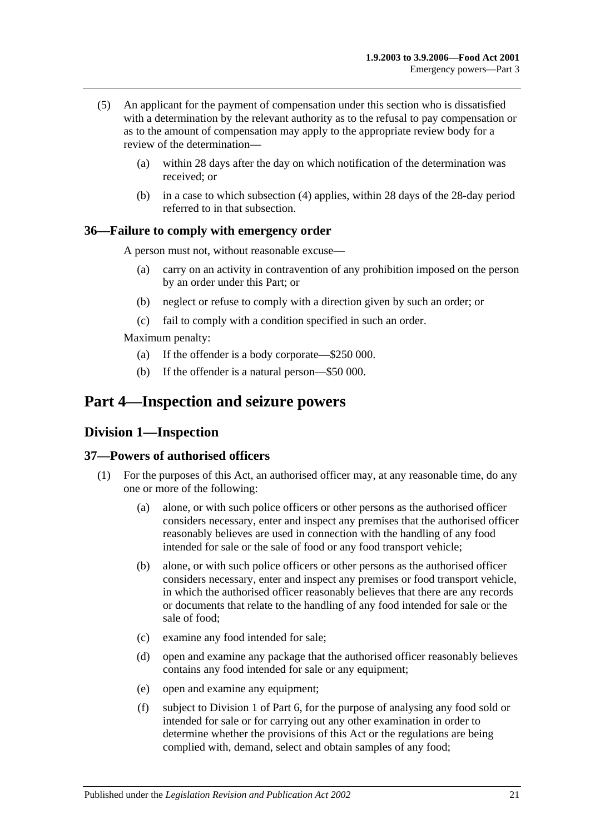- (5) An applicant for the payment of compensation under this section who is dissatisfied with a determination by the relevant authority as to the refusal to pay compensation or as to the amount of compensation may apply to the appropriate review body for a review of the determination—
	- (a) within 28 days after the day on which notification of the determination was received; or
	- (b) in a case to which [subsection](#page-19-5) (4) applies, within 28 days of the 28-day period referred to in that subsection.

#### <span id="page-20-0"></span>**36—Failure to comply with emergency order**

A person must not, without reasonable excuse—

- (a) carry on an activity in contravention of any prohibition imposed on the person by an order under this Part; or
- (b) neglect or refuse to comply with a direction given by such an order; or
- (c) fail to comply with a condition specified in such an order.

Maximum penalty:

- (a) If the offender is a body corporate—\$250 000.
- (b) If the offender is a natural person—\$50 000.

# <span id="page-20-2"></span><span id="page-20-1"></span>**Part 4—Inspection and seizure powers**

#### **Division 1—Inspection**

#### <span id="page-20-5"></span><span id="page-20-3"></span>**37—Powers of authorised officers**

- <span id="page-20-4"></span>(1) For the purposes of this Act, an authorised officer may, at any reasonable time, do any one or more of the following:
	- (a) alone, or with such police officers or other persons as the authorised officer considers necessary, enter and inspect any premises that the authorised officer reasonably believes are used in connection with the handling of any food intended for sale or the sale of food or any food transport vehicle;
	- (b) alone, or with such police officers or other persons as the authorised officer considers necessary, enter and inspect any premises or food transport vehicle, in which the authorised officer reasonably believes that there are any records or documents that relate to the handling of any food intended for sale or the sale of food;
	- (c) examine any food intended for sale;
	- (d) open and examine any package that the authorised officer reasonably believes contains any food intended for sale or any equipment;
	- (e) open and examine any equipment;
	- (f) subject to [Division 1](#page-29-1) of [Part 6,](#page-29-0) for the purpose of analysing any food sold or intended for sale or for carrying out any other examination in order to determine whether the provisions of this Act or the regulations are being complied with, demand, select and obtain samples of any food;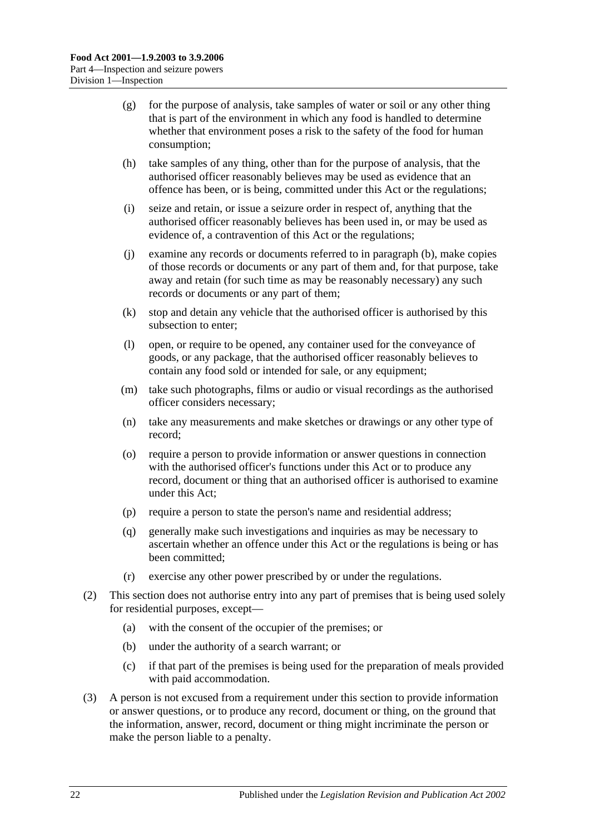- (g) for the purpose of analysis, take samples of water or soil or any other thing that is part of the environment in which any food is handled to determine whether that environment poses a risk to the safety of the food for human consumption;
- (h) take samples of any thing, other than for the purpose of analysis, that the authorised officer reasonably believes may be used as evidence that an offence has been, or is being, committed under this Act or the regulations;
- (i) seize and retain, or issue a seizure order in respect of, anything that the authorised officer reasonably believes has been used in, or may be used as evidence of, a contravention of this Act or the regulations;
- (j) examine any records or documents referred to in [paragraph](#page-20-4) (b), make copies of those records or documents or any part of them and, for that purpose, take away and retain (for such time as may be reasonably necessary) any such records or documents or any part of them;
- (k) stop and detain any vehicle that the authorised officer is authorised by this subsection to enter;
- (l) open, or require to be opened, any container used for the conveyance of goods, or any package, that the authorised officer reasonably believes to contain any food sold or intended for sale, or any equipment;
- (m) take such photographs, films or audio or visual recordings as the authorised officer considers necessary;
- (n) take any measurements and make sketches or drawings or any other type of record;
- (o) require a person to provide information or answer questions in connection with the authorised officer's functions under this Act or to produce any record, document or thing that an authorised officer is authorised to examine under this Act;
- (p) require a person to state the person's name and residential address;
- (q) generally make such investigations and inquiries as may be necessary to ascertain whether an offence under this Act or the regulations is being or has been committed;
- (r) exercise any other power prescribed by or under the regulations.
- (2) This section does not authorise entry into any part of premises that is being used solely for residential purposes, except—
	- (a) with the consent of the occupier of the premises; or
	- (b) under the authority of a search warrant; or
	- (c) if that part of the premises is being used for the preparation of meals provided with paid accommodation.
- (3) A person is not excused from a requirement under this section to provide information or answer questions, or to produce any record, document or thing, on the ground that the information, answer, record, document or thing might incriminate the person or make the person liable to a penalty.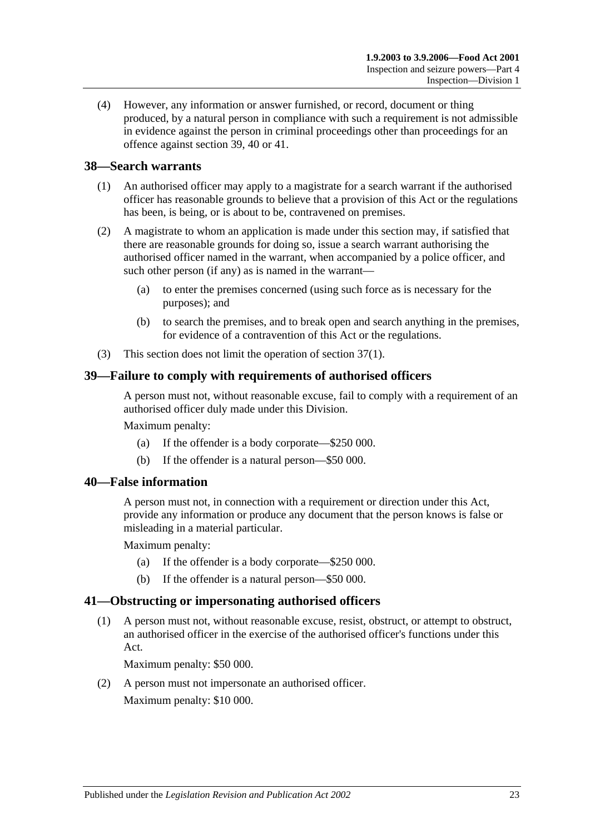(4) However, any information or answer furnished, or record, document or thing produced, by a natural person in compliance with such a requirement is not admissible in evidence against the person in criminal proceedings other than proceedings for an offence against [section](#page-22-1) 39, [40](#page-22-2) or [41.](#page-22-3)

#### <span id="page-22-0"></span>**38—Search warrants**

- (1) An authorised officer may apply to a magistrate for a search warrant if the authorised officer has reasonable grounds to believe that a provision of this Act or the regulations has been, is being, or is about to be, contravened on premises.
- (2) A magistrate to whom an application is made under this section may, if satisfied that there are reasonable grounds for doing so, issue a search warrant authorising the authorised officer named in the warrant, when accompanied by a police officer, and such other person (if any) as is named in the warrant—
	- (a) to enter the premises concerned (using such force as is necessary for the purposes); and
	- (b) to search the premises, and to break open and search anything in the premises, for evidence of a contravention of this Act or the regulations.
- (3) This section does not limit the operation of [section](#page-20-5) 37(1).

#### <span id="page-22-1"></span>**39—Failure to comply with requirements of authorised officers**

A person must not, without reasonable excuse, fail to comply with a requirement of an authorised officer duly made under this Division.

Maximum penalty:

- (a) If the offender is a body corporate—\$250 000.
- (b) If the offender is a natural person—\$50 000.

#### <span id="page-22-2"></span>**40—False information**

A person must not, in connection with a requirement or direction under this Act, provide any information or produce any document that the person knows is false or misleading in a material particular.

Maximum penalty:

- (a) If the offender is a body corporate—\$250 000.
- (b) If the offender is a natural person—\$50 000.

#### <span id="page-22-3"></span>**41—Obstructing or impersonating authorised officers**

(1) A person must not, without reasonable excuse, resist, obstruct, or attempt to obstruct, an authorised officer in the exercise of the authorised officer's functions under this Act.

Maximum penalty: \$50 000.

(2) A person must not impersonate an authorised officer. Maximum penalty: \$10 000.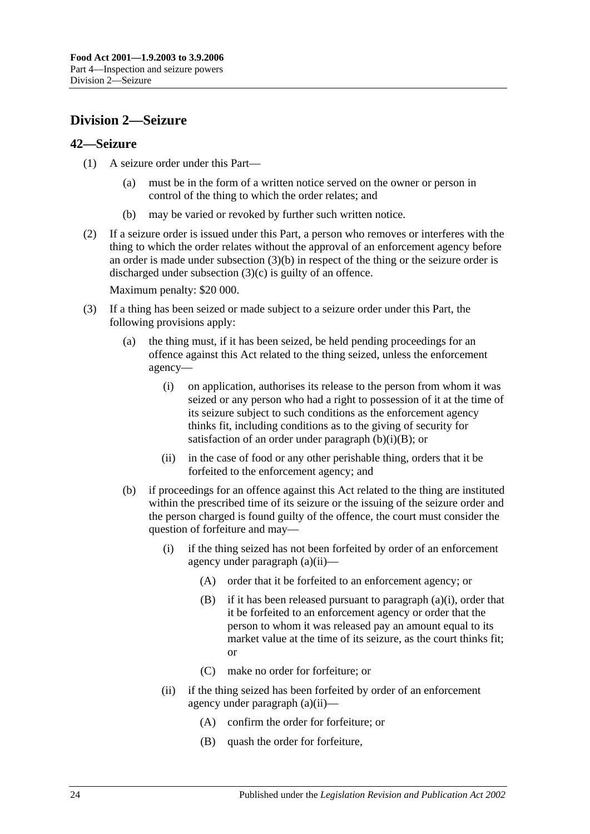# <span id="page-23-0"></span>**Division 2—Seizure**

#### <span id="page-23-1"></span>**42—Seizure**

- (1) A seizure order under this Part—
	- (a) must be in the form of a written notice served on the owner or person in control of the thing to which the order relates; and
	- (b) may be varied or revoked by further such written notice.
- (2) If a seizure order is issued under this Part, a person who removes or interferes with the thing to which the order relates without the approval of an enforcement agency before an order is made under [subsection](#page-23-2) (3)(b) in respect of the thing or the seizure order is discharged under [subsection](#page-24-0) (3)(c) is guilty of an offence.

Maximum penalty: \$20 000.

- <span id="page-23-7"></span><span id="page-23-6"></span><span id="page-23-5"></span><span id="page-23-4"></span><span id="page-23-3"></span><span id="page-23-2"></span>(3) If a thing has been seized or made subject to a seizure order under this Part, the following provisions apply:
	- (a) the thing must, if it has been seized, be held pending proceedings for an offence against this Act related to the thing seized, unless the enforcement agency—
		- (i) on application, authorises its release to the person from whom it was seized or any person who had a right to possession of it at the time of its seizure subject to such conditions as the enforcement agency thinks fit, including conditions as to the giving of security for satisfaction of an order under [paragraph](#page-23-3)  $(b)(i)(B)$ ; or
		- (ii) in the case of food or any other perishable thing, orders that it be forfeited to the enforcement agency; and
	- (b) if proceedings for an offence against this Act related to the thing are instituted within the prescribed time of its seizure or the issuing of the seizure order and the person charged is found guilty of the offence, the court must consider the question of forfeiture and may—
		- (i) if the thing seized has not been forfeited by order of an enforcement agency under [paragraph](#page-23-4) (a)(ii)—
			- (A) order that it be forfeited to an enforcement agency; or
			- (B) if it has been released pursuant to [paragraph](#page-23-5) (a)(i), order that it be forfeited to an enforcement agency or order that the person to whom it was released pay an amount equal to its market value at the time of its seizure, as the court thinks fit; or
			- (C) make no order for forfeiture; or
		- (ii) if the thing seized has been forfeited by order of an enforcement agency under [paragraph](#page-23-4) (a)(ii)—
			- (A) confirm the order for forfeiture; or
			- (B) quash the order for forfeiture,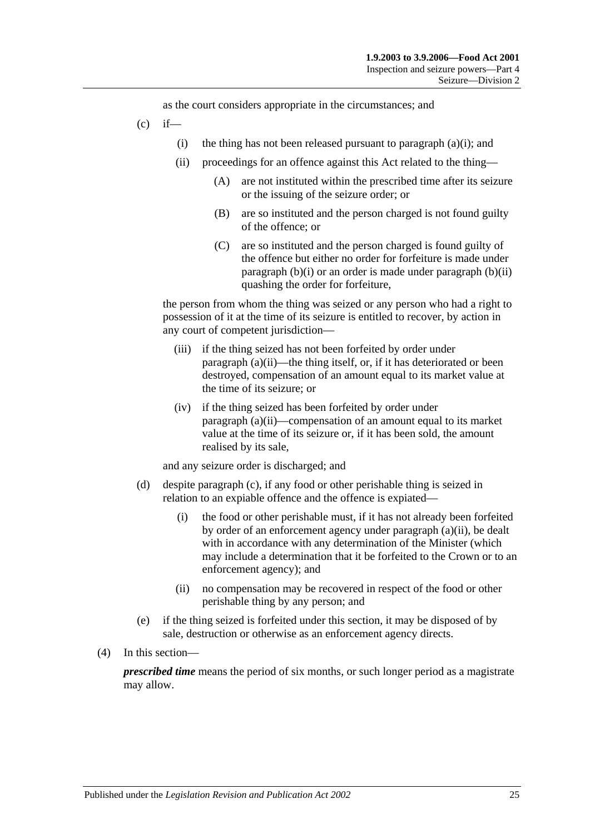as the court considers appropriate in the circumstances; and

- <span id="page-24-0"></span> $(c)$  if
	- (i) the thing has not been released pursuant to [paragraph](#page-23-5)  $(a)(i)$ ; and
	- (ii) proceedings for an offence against this Act related to the thing—
		- (A) are not instituted within the prescribed time after its seizure or the issuing of the seizure order; or
		- (B) are so instituted and the person charged is not found guilty of the offence; or
		- (C) are so instituted and the person charged is found guilty of the offence but either no order for forfeiture is made under [paragraph](#page-23-6)  $(b)(i)$  or an order is made under [paragraph](#page-23-7)  $(b)(ii)$ quashing the order for forfeiture,

the person from whom the thing was seized or any person who had a right to possession of it at the time of its seizure is entitled to recover, by action in any court of competent jurisdiction—

- (iii) if the thing seized has not been forfeited by order under [paragraph](#page-23-4) (a)(ii)—the thing itself, or, if it has deteriorated or been destroyed, compensation of an amount equal to its market value at the time of its seizure; or
- (iv) if the thing seized has been forfeited by order under [paragraph](#page-23-4) (a)(ii)—compensation of an amount equal to its market value at the time of its seizure or, if it has been sold, the amount realised by its sale,

and any seizure order is discharged; and

- (d) despite [paragraph](#page-24-0) (c), if any food or other perishable thing is seized in relation to an expiable offence and the offence is expiated—
	- (i) the food or other perishable must, if it has not already been forfeited by order of an enforcement agency under [paragraph](#page-23-4) (a)(ii), be dealt with in accordance with any determination of the Minister (which may include a determination that it be forfeited to the Crown or to an enforcement agency); and
	- (ii) no compensation may be recovered in respect of the food or other perishable thing by any person; and
- (e) if the thing seized is forfeited under this section, it may be disposed of by sale, destruction or otherwise as an enforcement agency directs.
- (4) In this section—

*prescribed time* means the period of six months, or such longer period as a magistrate may allow.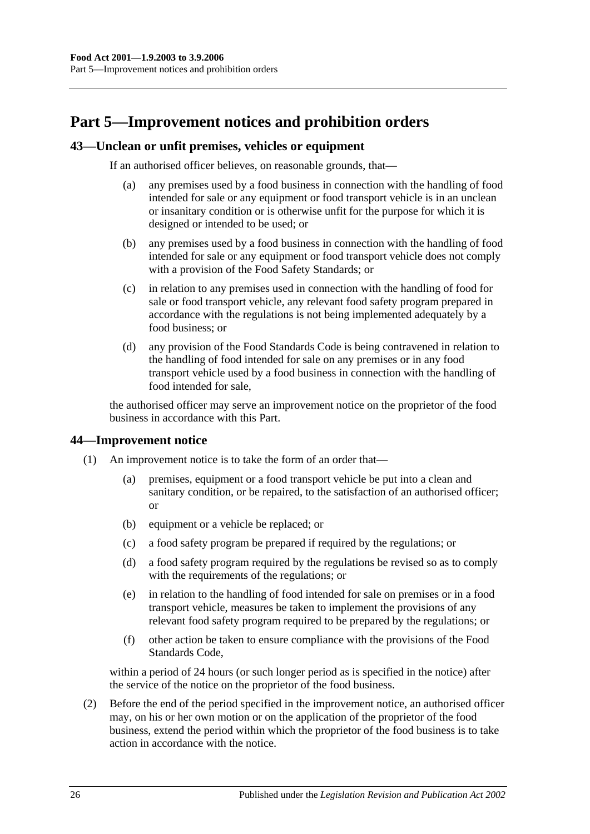# <span id="page-25-0"></span>**Part 5—Improvement notices and prohibition orders**

#### <span id="page-25-1"></span>**43—Unclean or unfit premises, vehicles or equipment**

If an authorised officer believes, on reasonable grounds, that—

- (a) any premises used by a food business in connection with the handling of food intended for sale or any equipment or food transport vehicle is in an unclean or insanitary condition or is otherwise unfit for the purpose for which it is designed or intended to be used; or
- (b) any premises used by a food business in connection with the handling of food intended for sale or any equipment or food transport vehicle does not comply with a provision of the Food Safety Standards; or
- (c) in relation to any premises used in connection with the handling of food for sale or food transport vehicle, any relevant food safety program prepared in accordance with the regulations is not being implemented adequately by a food business; or
- (d) any provision of the Food Standards Code is being contravened in relation to the handling of food intended for sale on any premises or in any food transport vehicle used by a food business in connection with the handling of food intended for sale,

the authorised officer may serve an improvement notice on the proprietor of the food business in accordance with this Part.

#### <span id="page-25-2"></span>**44—Improvement notice**

- (1) An improvement notice is to take the form of an order that—
	- (a) premises, equipment or a food transport vehicle be put into a clean and sanitary condition, or be repaired, to the satisfaction of an authorised officer; or
	- (b) equipment or a vehicle be replaced; or
	- (c) a food safety program be prepared if required by the regulations; or
	- (d) a food safety program required by the regulations be revised so as to comply with the requirements of the regulations; or
	- (e) in relation to the handling of food intended for sale on premises or in a food transport vehicle, measures be taken to implement the provisions of any relevant food safety program required to be prepared by the regulations; or
	- (f) other action be taken to ensure compliance with the provisions of the Food Standards Code,

within a period of 24 hours (or such longer period as is specified in the notice) after the service of the notice on the proprietor of the food business.

(2) Before the end of the period specified in the improvement notice, an authorised officer may, on his or her own motion or on the application of the proprietor of the food business, extend the period within which the proprietor of the food business is to take action in accordance with the notice.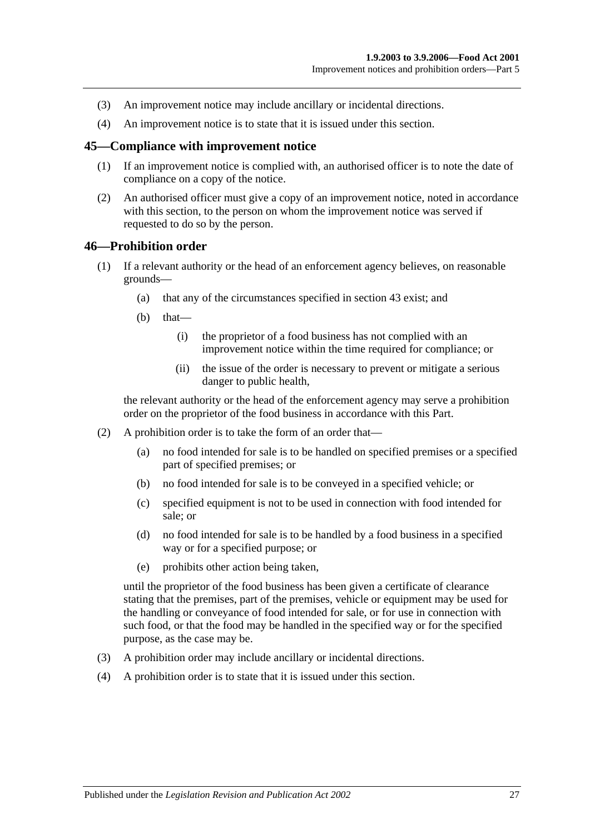- (3) An improvement notice may include ancillary or incidental directions.
- (4) An improvement notice is to state that it is issued under this section.

#### <span id="page-26-0"></span>**45—Compliance with improvement notice**

- (1) If an improvement notice is complied with, an authorised officer is to note the date of compliance on a copy of the notice.
- (2) An authorised officer must give a copy of an improvement notice, noted in accordance with this section, to the person on whom the improvement notice was served if requested to do so by the person.

#### <span id="page-26-1"></span>**46—Prohibition order**

- (1) If a relevant authority or the head of an enforcement agency believes, on reasonable grounds—
	- (a) that any of the circumstances specified in [section](#page-25-1) 43 exist; and
	- $(b)$  that—
		- (i) the proprietor of a food business has not complied with an improvement notice within the time required for compliance; or
		- (ii) the issue of the order is necessary to prevent or mitigate a serious danger to public health,

the relevant authority or the head of the enforcement agency may serve a prohibition order on the proprietor of the food business in accordance with this Part.

- (2) A prohibition order is to take the form of an order that—
	- (a) no food intended for sale is to be handled on specified premises or a specified part of specified premises; or
	- (b) no food intended for sale is to be conveyed in a specified vehicle; or
	- (c) specified equipment is not to be used in connection with food intended for sale; or
	- (d) no food intended for sale is to be handled by a food business in a specified way or for a specified purpose; or
	- (e) prohibits other action being taken,

until the proprietor of the food business has been given a certificate of clearance stating that the premises, part of the premises, vehicle or equipment may be used for the handling or conveyance of food intended for sale, or for use in connection with such food, or that the food may be handled in the specified way or for the specified purpose, as the case may be.

- (3) A prohibition order may include ancillary or incidental directions.
- (4) A prohibition order is to state that it is issued under this section.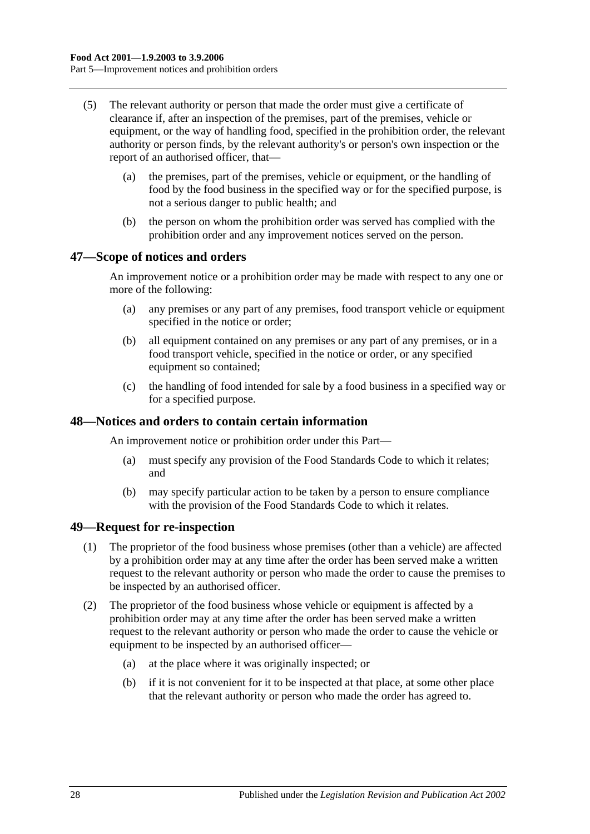- (5) The relevant authority or person that made the order must give a certificate of clearance if, after an inspection of the premises, part of the premises, vehicle or equipment, or the way of handling food, specified in the prohibition order, the relevant authority or person finds, by the relevant authority's or person's own inspection or the report of an authorised officer, that—
	- (a) the premises, part of the premises, vehicle or equipment, or the handling of food by the food business in the specified way or for the specified purpose, is not a serious danger to public health; and
	- (b) the person on whom the prohibition order was served has complied with the prohibition order and any improvement notices served on the person.

#### <span id="page-27-0"></span>**47—Scope of notices and orders**

An improvement notice or a prohibition order may be made with respect to any one or more of the following:

- (a) any premises or any part of any premises, food transport vehicle or equipment specified in the notice or order;
- (b) all equipment contained on any premises or any part of any premises, or in a food transport vehicle, specified in the notice or order, or any specified equipment so contained;
- (c) the handling of food intended for sale by a food business in a specified way or for a specified purpose.

#### <span id="page-27-1"></span>**48—Notices and orders to contain certain information**

An improvement notice or prohibition order under this Part—

- (a) must specify any provision of the Food Standards Code to which it relates; and
- (b) may specify particular action to be taken by a person to ensure compliance with the provision of the Food Standards Code to which it relates.

#### <span id="page-27-2"></span>**49—Request for re-inspection**

- (1) The proprietor of the food business whose premises (other than a vehicle) are affected by a prohibition order may at any time after the order has been served make a written request to the relevant authority or person who made the order to cause the premises to be inspected by an authorised officer.
- (2) The proprietor of the food business whose vehicle or equipment is affected by a prohibition order may at any time after the order has been served make a written request to the relevant authority or person who made the order to cause the vehicle or equipment to be inspected by an authorised officer—
	- (a) at the place where it was originally inspected; or
	- (b) if it is not convenient for it to be inspected at that place, at some other place that the relevant authority or person who made the order has agreed to.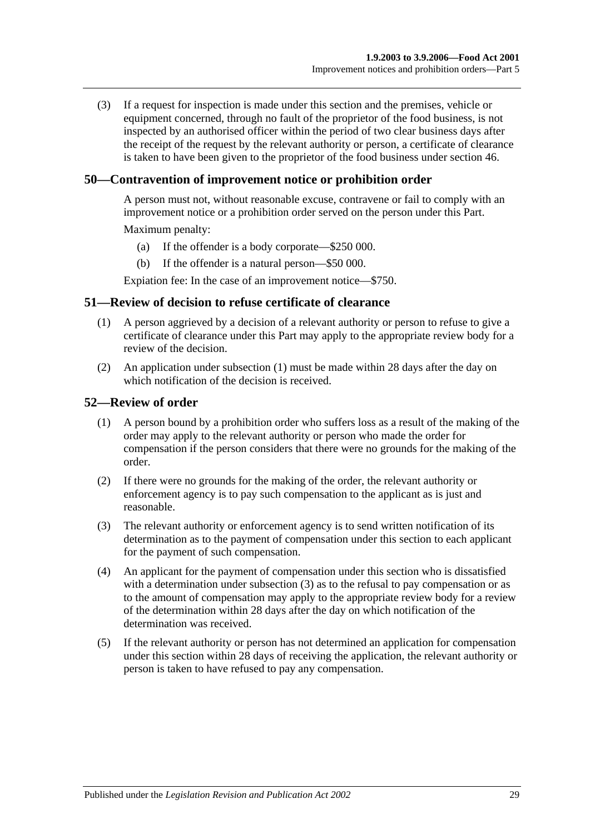(3) If a request for inspection is made under this section and the premises, vehicle or equipment concerned, through no fault of the proprietor of the food business, is not inspected by an authorised officer within the period of two clear business days after the receipt of the request by the relevant authority or person, a certificate of clearance is taken to have been given to the proprietor of the food business under [section](#page-26-1) 46.

#### <span id="page-28-0"></span>**50—Contravention of improvement notice or prohibition order**

A person must not, without reasonable excuse, contravene or fail to comply with an improvement notice or a prohibition order served on the person under this Part.

Maximum penalty:

- (a) If the offender is a body corporate—\$250 000.
- (b) If the offender is a natural person—\$50 000.

Expiation fee: In the case of an improvement notice—\$750.

#### <span id="page-28-3"></span><span id="page-28-1"></span>**51—Review of decision to refuse certificate of clearance**

- (1) A person aggrieved by a decision of a relevant authority or person to refuse to give a certificate of clearance under this Part may apply to the appropriate review body for a review of the decision.
- (2) An application under [subsection](#page-28-3) (1) must be made within 28 days after the day on which notification of the decision is received.

#### <span id="page-28-2"></span>**52—Review of order**

- (1) A person bound by a prohibition order who suffers loss as a result of the making of the order may apply to the relevant authority or person who made the order for compensation if the person considers that there were no grounds for the making of the order.
- (2) If there were no grounds for the making of the order, the relevant authority or enforcement agency is to pay such compensation to the applicant as is just and reasonable.
- <span id="page-28-4"></span>(3) The relevant authority or enforcement agency is to send written notification of its determination as to the payment of compensation under this section to each applicant for the payment of such compensation.
- (4) An applicant for the payment of compensation under this section who is dissatisfied with a determination under [subsection](#page-28-4) (3) as to the refusal to pay compensation or as to the amount of compensation may apply to the appropriate review body for a review of the determination within 28 days after the day on which notification of the determination was received.
- (5) If the relevant authority or person has not determined an application for compensation under this section within 28 days of receiving the application, the relevant authority or person is taken to have refused to pay any compensation.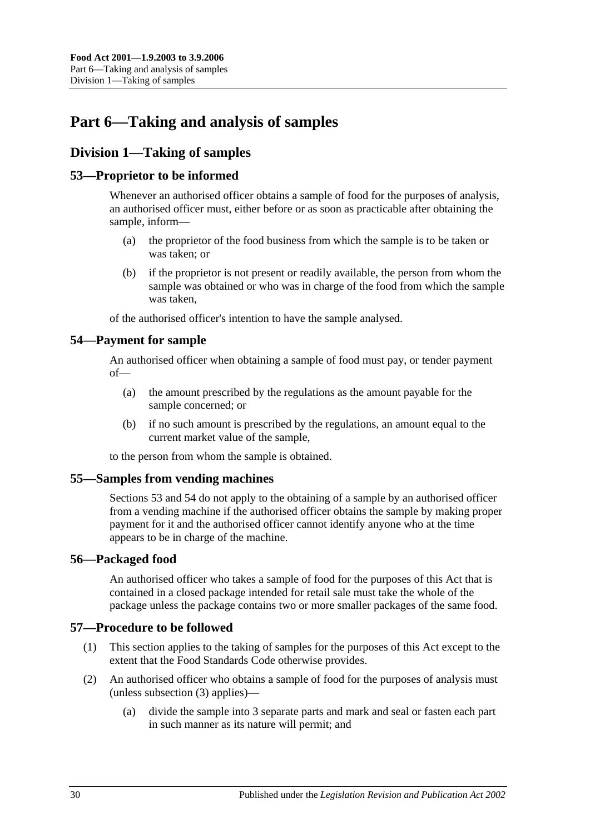# <span id="page-29-0"></span>**Part 6—Taking and analysis of samples**

# <span id="page-29-1"></span>**Division 1—Taking of samples**

## <span id="page-29-2"></span>**53—Proprietor to be informed**

Whenever an authorised officer obtains a sample of food for the purposes of analysis, an authorised officer must, either before or as soon as practicable after obtaining the sample, inform—

- (a) the proprietor of the food business from which the sample is to be taken or was taken; or
- (b) if the proprietor is not present or readily available, the person from whom the sample was obtained or who was in charge of the food from which the sample was taken,

of the authorised officer's intention to have the sample analysed.

## <span id="page-29-3"></span>**54—Payment for sample**

An authorised officer when obtaining a sample of food must pay, or tender payment of—

- (a) the amount prescribed by the regulations as the amount payable for the sample concerned; or
- (b) if no such amount is prescribed by the regulations, an amount equal to the current market value of the sample,

to the person from whom the sample is obtained.

#### <span id="page-29-4"></span>**55—Samples from vending machines**

[Sections](#page-29-2) 53 and [54](#page-29-3) do not apply to the obtaining of a sample by an authorised officer from a vending machine if the authorised officer obtains the sample by making proper payment for it and the authorised officer cannot identify anyone who at the time appears to be in charge of the machine.

#### <span id="page-29-5"></span>**56—Packaged food**

An authorised officer who takes a sample of food for the purposes of this Act that is contained in a closed package intended for retail sale must take the whole of the package unless the package contains two or more smaller packages of the same food.

### <span id="page-29-6"></span>**57—Procedure to be followed**

- (1) This section applies to the taking of samples for the purposes of this Act except to the extent that the Food Standards Code otherwise provides.
- <span id="page-29-7"></span>(2) An authorised officer who obtains a sample of food for the purposes of analysis must (unless [subsection](#page-30-4) (3) applies)—
	- (a) divide the sample into 3 separate parts and mark and seal or fasten each part in such manner as its nature will permit; and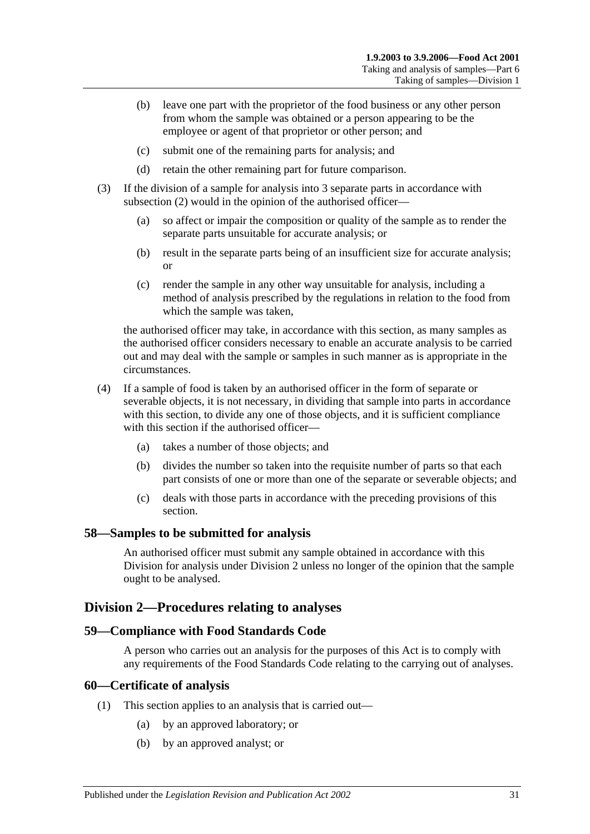- (b) leave one part with the proprietor of the food business or any other person from whom the sample was obtained or a person appearing to be the employee or agent of that proprietor or other person; and
- (c) submit one of the remaining parts for analysis; and
- (d) retain the other remaining part for future comparison.
- <span id="page-30-4"></span>(3) If the division of a sample for analysis into 3 separate parts in accordance with [subsection](#page-29-7) (2) would in the opinion of the authorised officer—
	- (a) so affect or impair the composition or quality of the sample as to render the separate parts unsuitable for accurate analysis; or
	- (b) result in the separate parts being of an insufficient size for accurate analysis; or
	- (c) render the sample in any other way unsuitable for analysis, including a method of analysis prescribed by the regulations in relation to the food from which the sample was taken,

the authorised officer may take, in accordance with this section, as many samples as the authorised officer considers necessary to enable an accurate analysis to be carried out and may deal with the sample or samples in such manner as is appropriate in the circumstances.

- (4) If a sample of food is taken by an authorised officer in the form of separate or severable objects, it is not necessary, in dividing that sample into parts in accordance with this section, to divide any one of those objects, and it is sufficient compliance with this section if the authorised officer—
	- (a) takes a number of those objects; and
	- (b) divides the number so taken into the requisite number of parts so that each part consists of one or more than one of the separate or severable objects; and
	- (c) deals with those parts in accordance with the preceding provisions of this section.

#### <span id="page-30-0"></span>**58—Samples to be submitted for analysis**

An authorised officer must submit any sample obtained in accordance with this Division for analysis under [Division 2](#page-30-1) unless no longer of the opinion that the sample ought to be analysed.

#### <span id="page-30-1"></span>**Division 2—Procedures relating to analyses**

#### <span id="page-30-2"></span>**59—Compliance with Food Standards Code**

A person who carries out an analysis for the purposes of this Act is to comply with any requirements of the Food Standards Code relating to the carrying out of analyses.

#### <span id="page-30-3"></span>**60—Certificate of analysis**

- (1) This section applies to an analysis that is carried out—
	- (a) by an approved laboratory; or
	- (b) by an approved analyst; or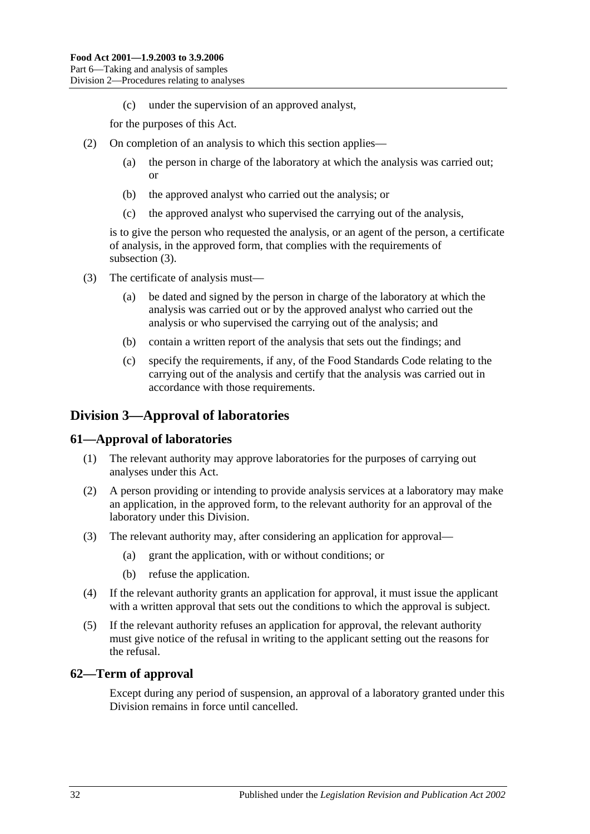(c) under the supervision of an approved analyst,

for the purposes of this Act.

- (2) On completion of an analysis to which this section applies—
	- (a) the person in charge of the laboratory at which the analysis was carried out; or
	- (b) the approved analyst who carried out the analysis; or
	- (c) the approved analyst who supervised the carrying out of the analysis,

is to give the person who requested the analysis, or an agent of the person, a certificate of analysis, in the approved form, that complies with the requirements of [subsection](#page-31-3) (3).

- <span id="page-31-3"></span>(3) The certificate of analysis must—
	- (a) be dated and signed by the person in charge of the laboratory at which the analysis was carried out or by the approved analyst who carried out the analysis or who supervised the carrying out of the analysis; and
	- (b) contain a written report of the analysis that sets out the findings; and
	- (c) specify the requirements, if any, of the Food Standards Code relating to the carrying out of the analysis and certify that the analysis was carried out in accordance with those requirements.

## <span id="page-31-0"></span>**Division 3—Approval of laboratories**

#### <span id="page-31-1"></span>**61—Approval of laboratories**

- (1) The relevant authority may approve laboratories for the purposes of carrying out analyses under this Act.
- (2) A person providing or intending to provide analysis services at a laboratory may make an application, in the approved form, to the relevant authority for an approval of the laboratory under this Division.
- (3) The relevant authority may, after considering an application for approval—
	- (a) grant the application, with or without conditions; or
	- (b) refuse the application.
- (4) If the relevant authority grants an application for approval, it must issue the applicant with a written approval that sets out the conditions to which the approval is subject.
- (5) If the relevant authority refuses an application for approval, the relevant authority must give notice of the refusal in writing to the applicant setting out the reasons for the refusal.

#### <span id="page-31-2"></span>**62—Term of approval**

Except during any period of suspension, an approval of a laboratory granted under this Division remains in force until cancelled.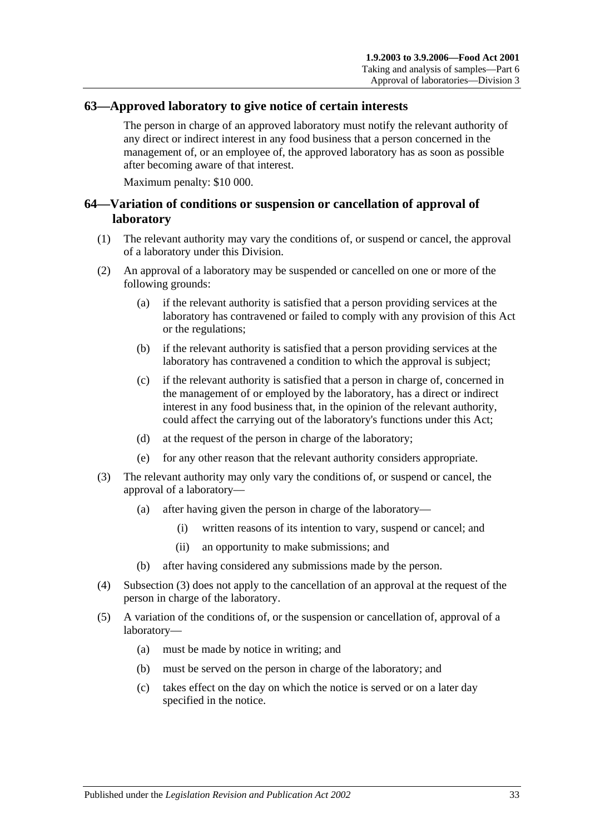#### <span id="page-32-0"></span>**63—Approved laboratory to give notice of certain interests**

The person in charge of an approved laboratory must notify the relevant authority of any direct or indirect interest in any food business that a person concerned in the management of, or an employee of, the approved laboratory has as soon as possible after becoming aware of that interest.

Maximum penalty: \$10 000.

#### <span id="page-32-1"></span>**64—Variation of conditions or suspension or cancellation of approval of laboratory**

- (1) The relevant authority may vary the conditions of, or suspend or cancel, the approval of a laboratory under this Division.
- (2) An approval of a laboratory may be suspended or cancelled on one or more of the following grounds:
	- (a) if the relevant authority is satisfied that a person providing services at the laboratory has contravened or failed to comply with any provision of this Act or the regulations;
	- (b) if the relevant authority is satisfied that a person providing services at the laboratory has contravened a condition to which the approval is subject;
	- (c) if the relevant authority is satisfied that a person in charge of, concerned in the management of or employed by the laboratory, has a direct or indirect interest in any food business that, in the opinion of the relevant authority, could affect the carrying out of the laboratory's functions under this Act;
	- (d) at the request of the person in charge of the laboratory;
	- (e) for any other reason that the relevant authority considers appropriate.
- <span id="page-32-2"></span>(3) The relevant authority may only vary the conditions of, or suspend or cancel, the approval of a laboratory—
	- (a) after having given the person in charge of the laboratory—
		- (i) written reasons of its intention to vary, suspend or cancel; and
		- (ii) an opportunity to make submissions; and
	- (b) after having considered any submissions made by the person.
- (4) [Subsection](#page-32-2) (3) does not apply to the cancellation of an approval at the request of the person in charge of the laboratory.
- (5) A variation of the conditions of, or the suspension or cancellation of, approval of a laboratory—
	- (a) must be made by notice in writing; and
	- (b) must be served on the person in charge of the laboratory; and
	- (c) takes effect on the day on which the notice is served or on a later day specified in the notice.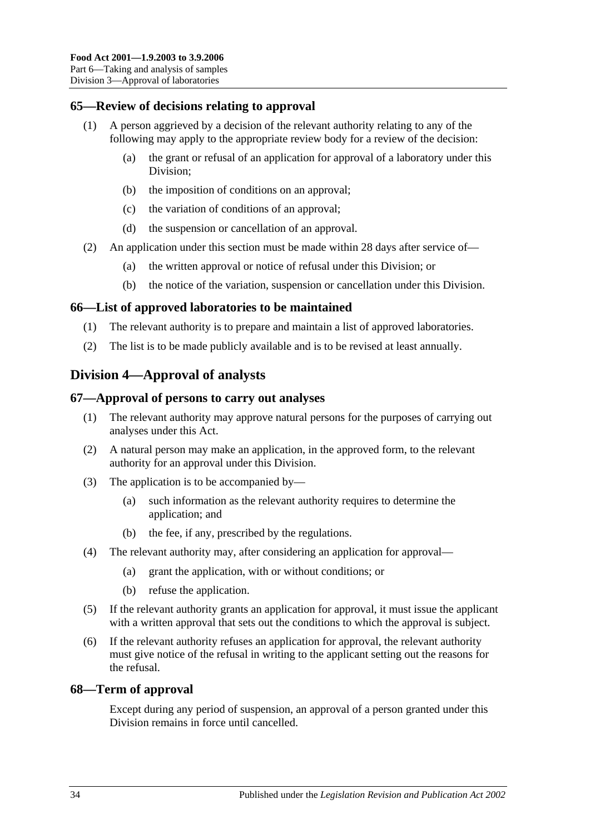## <span id="page-33-0"></span>**65—Review of decisions relating to approval**

- (1) A person aggrieved by a decision of the relevant authority relating to any of the following may apply to the appropriate review body for a review of the decision:
	- (a) the grant or refusal of an application for approval of a laboratory under this Division;
	- (b) the imposition of conditions on an approval;
	- (c) the variation of conditions of an approval;
	- (d) the suspension or cancellation of an approval.
- (2) An application under this section must be made within 28 days after service of—
	- (a) the written approval or notice of refusal under this Division; or
	- (b) the notice of the variation, suspension or cancellation under this Division.

#### <span id="page-33-1"></span>**66—List of approved laboratories to be maintained**

- (1) The relevant authority is to prepare and maintain a list of approved laboratories.
- (2) The list is to be made publicly available and is to be revised at least annually.

## <span id="page-33-2"></span>**Division 4—Approval of analysts**

#### <span id="page-33-3"></span>**67—Approval of persons to carry out analyses**

- (1) The relevant authority may approve natural persons for the purposes of carrying out analyses under this Act.
- (2) A natural person may make an application, in the approved form, to the relevant authority for an approval under this Division.
- (3) The application is to be accompanied by—
	- (a) such information as the relevant authority requires to determine the application; and
	- (b) the fee, if any, prescribed by the regulations.
- (4) The relevant authority may, after considering an application for approval—
	- (a) grant the application, with or without conditions; or
	- (b) refuse the application.
- (5) If the relevant authority grants an application for approval, it must issue the applicant with a written approval that sets out the conditions to which the approval is subject.
- (6) If the relevant authority refuses an application for approval, the relevant authority must give notice of the refusal in writing to the applicant setting out the reasons for the refusal.

#### <span id="page-33-4"></span>**68—Term of approval**

Except during any period of suspension, an approval of a person granted under this Division remains in force until cancelled.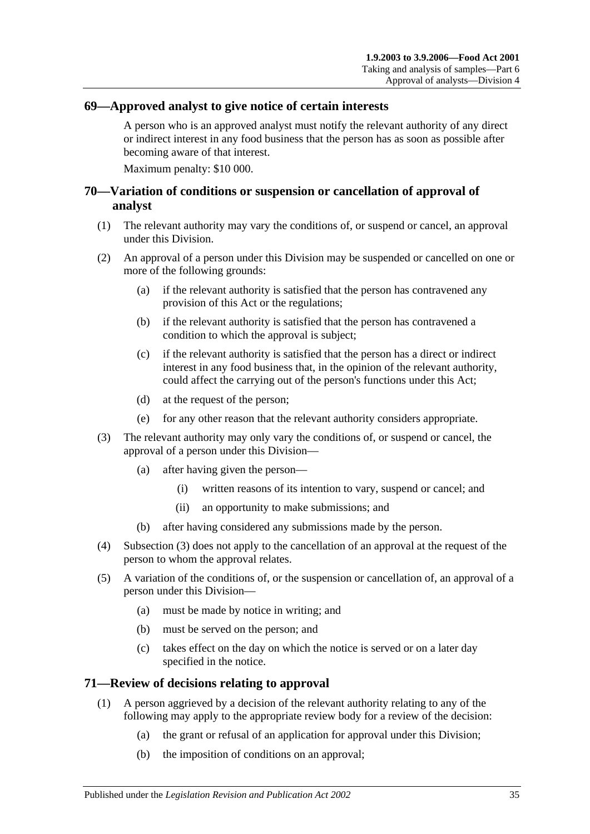#### <span id="page-34-0"></span>**69—Approved analyst to give notice of certain interests**

A person who is an approved analyst must notify the relevant authority of any direct or indirect interest in any food business that the person has as soon as possible after becoming aware of that interest.

Maximum penalty: \$10 000.

### <span id="page-34-1"></span>**70—Variation of conditions or suspension or cancellation of approval of analyst**

- (1) The relevant authority may vary the conditions of, or suspend or cancel, an approval under this Division.
- (2) An approval of a person under this Division may be suspended or cancelled on one or more of the following grounds:
	- (a) if the relevant authority is satisfied that the person has contravened any provision of this Act or the regulations;
	- (b) if the relevant authority is satisfied that the person has contravened a condition to which the approval is subject;
	- (c) if the relevant authority is satisfied that the person has a direct or indirect interest in any food business that, in the opinion of the relevant authority, could affect the carrying out of the person's functions under this Act;
	- (d) at the request of the person;
	- (e) for any other reason that the relevant authority considers appropriate.
- <span id="page-34-3"></span>(3) The relevant authority may only vary the conditions of, or suspend or cancel, the approval of a person under this Division—
	- (a) after having given the person—
		- (i) written reasons of its intention to vary, suspend or cancel; and
		- (ii) an opportunity to make submissions; and
	- (b) after having considered any submissions made by the person.
- (4) [Subsection](#page-34-3) (3) does not apply to the cancellation of an approval at the request of the person to whom the approval relates.
- (5) A variation of the conditions of, or the suspension or cancellation of, an approval of a person under this Division—
	- (a) must be made by notice in writing; and
	- (b) must be served on the person; and
	- (c) takes effect on the day on which the notice is served or on a later day specified in the notice.

#### <span id="page-34-2"></span>**71—Review of decisions relating to approval**

- (1) A person aggrieved by a decision of the relevant authority relating to any of the following may apply to the appropriate review body for a review of the decision:
	- (a) the grant or refusal of an application for approval under this Division;
	- (b) the imposition of conditions on an approval;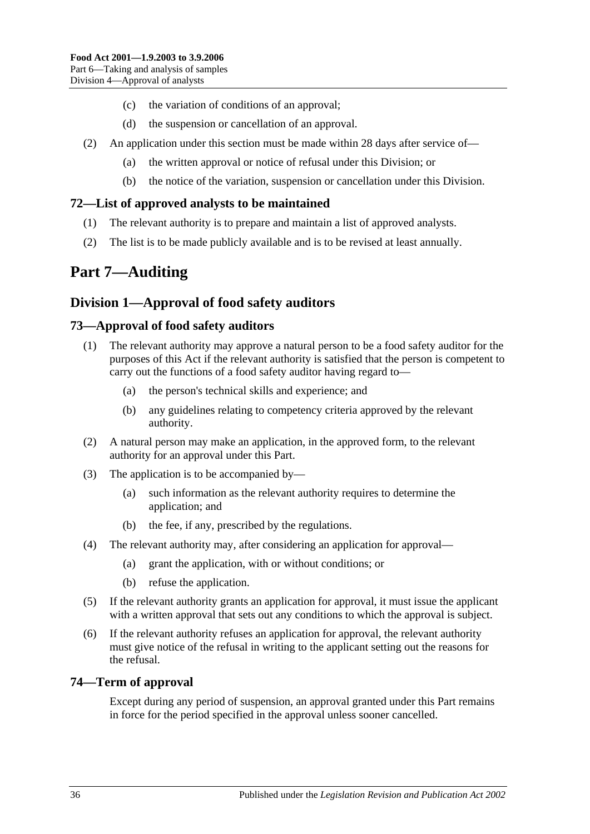- (c) the variation of conditions of an approval;
- (d) the suspension or cancellation of an approval.
- (2) An application under this section must be made within 28 days after service of—
	- (a) the written approval or notice of refusal under this Division; or
	- (b) the notice of the variation, suspension or cancellation under this Division.

## <span id="page-35-0"></span>**72—List of approved analysts to be maintained**

- (1) The relevant authority is to prepare and maintain a list of approved analysts.
- (2) The list is to be made publicly available and is to be revised at least annually.

# <span id="page-35-1"></span>**Part 7—Auditing**

## <span id="page-35-2"></span>**Division 1—Approval of food safety auditors**

## <span id="page-35-3"></span>**73—Approval of food safety auditors**

- (1) The relevant authority may approve a natural person to be a food safety auditor for the purposes of this Act if the relevant authority is satisfied that the person is competent to carry out the functions of a food safety auditor having regard to—
	- (a) the person's technical skills and experience; and
	- (b) any guidelines relating to competency criteria approved by the relevant authority.
- (2) A natural person may make an application, in the approved form, to the relevant authority for an approval under this Part.
- (3) The application is to be accompanied by—
	- (a) such information as the relevant authority requires to determine the application; and
	- (b) the fee, if any, prescribed by the regulations.
- (4) The relevant authority may, after considering an application for approval—
	- (a) grant the application, with or without conditions; or
	- (b) refuse the application.
- (5) If the relevant authority grants an application for approval, it must issue the applicant with a written approval that sets out any conditions to which the approval is subject.
- (6) If the relevant authority refuses an application for approval, the relevant authority must give notice of the refusal in writing to the applicant setting out the reasons for the refusal.

#### <span id="page-35-4"></span>**74—Term of approval**

Except during any period of suspension, an approval granted under this Part remains in force for the period specified in the approval unless sooner cancelled.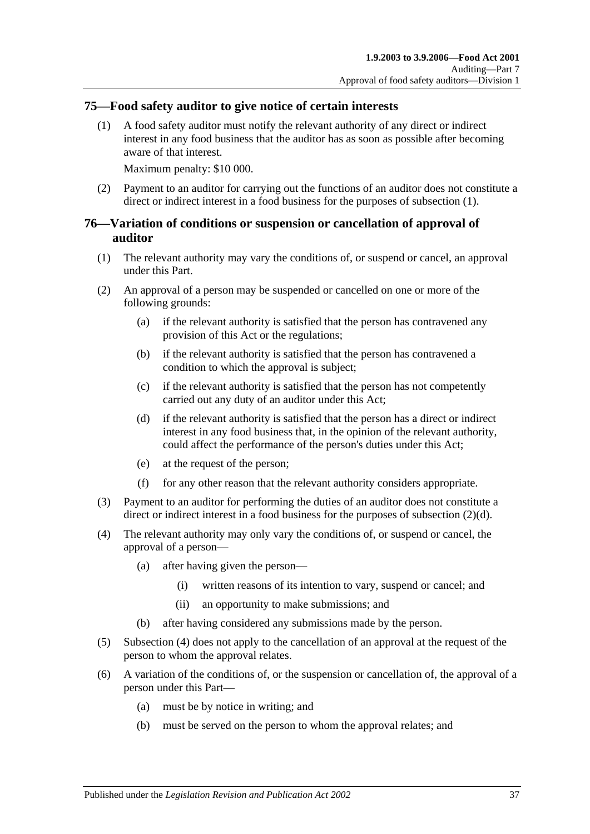#### <span id="page-36-2"></span><span id="page-36-0"></span>**75—Food safety auditor to give notice of certain interests**

(1) A food safety auditor must notify the relevant authority of any direct or indirect interest in any food business that the auditor has as soon as possible after becoming aware of that interest.

Maximum penalty: \$10 000.

(2) Payment to an auditor for carrying out the functions of an auditor does not constitute a direct or indirect interest in a food business for the purposes of [subsection](#page-36-2) (1).

### <span id="page-36-1"></span>**76—Variation of conditions or suspension or cancellation of approval of auditor**

- (1) The relevant authority may vary the conditions of, or suspend or cancel, an approval under this Part.
- (2) An approval of a person may be suspended or cancelled on one or more of the following grounds:
	- (a) if the relevant authority is satisfied that the person has contravened any provision of this Act or the regulations;
	- (b) if the relevant authority is satisfied that the person has contravened a condition to which the approval is subject;
	- (c) if the relevant authority is satisfied that the person has not competently carried out any duty of an auditor under this Act;
	- (d) if the relevant authority is satisfied that the person has a direct or indirect interest in any food business that, in the opinion of the relevant authority, could affect the performance of the person's duties under this Act;
	- (e) at the request of the person;
	- (f) for any other reason that the relevant authority considers appropriate.
- <span id="page-36-3"></span>(3) Payment to an auditor for performing the duties of an auditor does not constitute a direct or indirect interest in a food business for the purposes of [subsection](#page-36-3) (2)(d).
- <span id="page-36-4"></span>(4) The relevant authority may only vary the conditions of, or suspend or cancel, the approval of a person—
	- (a) after having given the person—
		- (i) written reasons of its intention to vary, suspend or cancel; and
		- (ii) an opportunity to make submissions; and
	- (b) after having considered any submissions made by the person.
- (5) [Subsection](#page-36-4) (4) does not apply to the cancellation of an approval at the request of the person to whom the approval relates.
- (6) A variation of the conditions of, or the suspension or cancellation of, the approval of a person under this Part—
	- (a) must be by notice in writing; and
	- (b) must be served on the person to whom the approval relates; and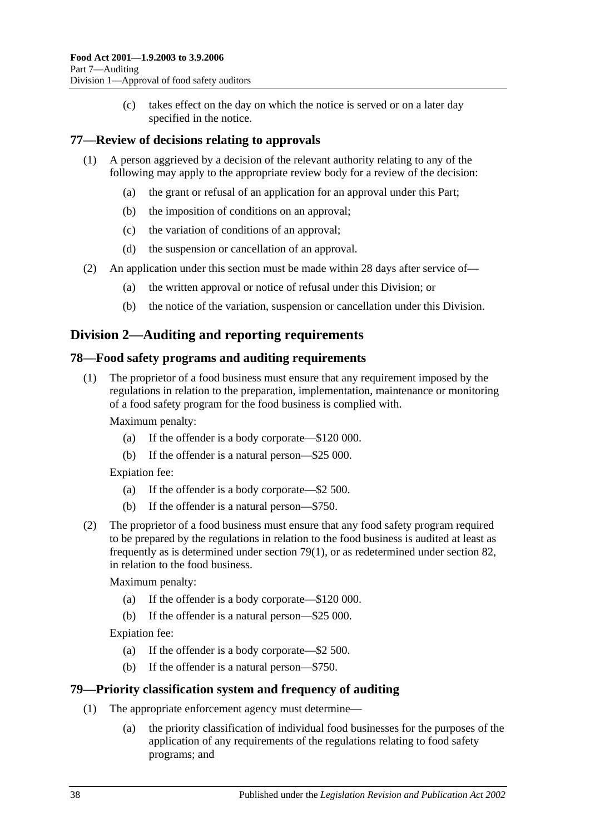(c) takes effect on the day on which the notice is served or on a later day specified in the notice.

## <span id="page-37-0"></span>**77—Review of decisions relating to approvals**

- (1) A person aggrieved by a decision of the relevant authority relating to any of the following may apply to the appropriate review body for a review of the decision:
	- (a) the grant or refusal of an application for an approval under this Part;
	- (b) the imposition of conditions on an approval;
	- (c) the variation of conditions of an approval;
	- (d) the suspension or cancellation of an approval.
- (2) An application under this section must be made within 28 days after service of—
	- (a) the written approval or notice of refusal under this Division; or
	- (b) the notice of the variation, suspension or cancellation under this Division.

## <span id="page-37-1"></span>**Division 2—Auditing and reporting requirements**

#### <span id="page-37-2"></span>**78—Food safety programs and auditing requirements**

(1) The proprietor of a food business must ensure that any requirement imposed by the regulations in relation to the preparation, implementation, maintenance or monitoring of a food safety program for the food business is complied with.

Maximum penalty:

- (a) If the offender is a body corporate—\$120 000.
- (b) If the offender is a natural person—\$25 000.

Expiation fee:

- (a) If the offender is a body corporate—\$2 500.
- (b) If the offender is a natural person—\$750.
- (2) The proprietor of a food business must ensure that any food safety program required to be prepared by the regulations in relation to the food business is audited at least as frequently as is determined under [section](#page-37-4) 79(1), or as redetermined under [section](#page-39-0) 82, in relation to the food business.

Maximum penalty:

- (a) If the offender is a body corporate—\$120 000.
- (b) If the offender is a natural person—\$25 000.

Expiation fee:

- (a) If the offender is a body corporate—\$2 500.
- (b) If the offender is a natural person—\$750.

#### <span id="page-37-4"></span><span id="page-37-3"></span>**79—Priority classification system and frequency of auditing**

- (1) The appropriate enforcement agency must determine—
	- (a) the priority classification of individual food businesses for the purposes of the application of any requirements of the regulations relating to food safety programs; and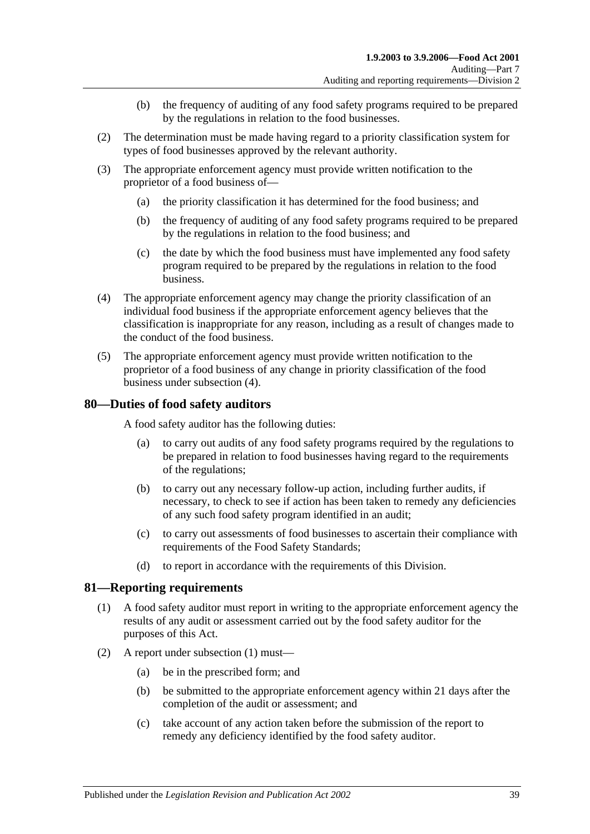- (b) the frequency of auditing of any food safety programs required to be prepared by the regulations in relation to the food businesses.
- (2) The determination must be made having regard to a priority classification system for types of food businesses approved by the relevant authority.
- (3) The appropriate enforcement agency must provide written notification to the proprietor of a food business of—
	- (a) the priority classification it has determined for the food business; and
	- (b) the frequency of auditing of any food safety programs required to be prepared by the regulations in relation to the food business; and
	- (c) the date by which the food business must have implemented any food safety program required to be prepared by the regulations in relation to the food business.
- <span id="page-38-2"></span>(4) The appropriate enforcement agency may change the priority classification of an individual food business if the appropriate enforcement agency believes that the classification is inappropriate for any reason, including as a result of changes made to the conduct of the food business.
- (5) The appropriate enforcement agency must provide written notification to the proprietor of a food business of any change in priority classification of the food business under [subsection](#page-38-2) (4).

#### <span id="page-38-0"></span>**80—Duties of food safety auditors**

A food safety auditor has the following duties:

- (a) to carry out audits of any food safety programs required by the regulations to be prepared in relation to food businesses having regard to the requirements of the regulations;
- (b) to carry out any necessary follow-up action, including further audits, if necessary, to check to see if action has been taken to remedy any deficiencies of any such food safety program identified in an audit;
- (c) to carry out assessments of food businesses to ascertain their compliance with requirements of the Food Safety Standards;
- (d) to report in accordance with the requirements of this Division.

#### <span id="page-38-3"></span><span id="page-38-1"></span>**81—Reporting requirements**

- (1) A food safety auditor must report in writing to the appropriate enforcement agency the results of any audit or assessment carried out by the food safety auditor for the purposes of this Act.
- (2) A report under [subsection](#page-38-3) (1) must—
	- (a) be in the prescribed form; and
	- (b) be submitted to the appropriate enforcement agency within 21 days after the completion of the audit or assessment; and
	- (c) take account of any action taken before the submission of the report to remedy any deficiency identified by the food safety auditor.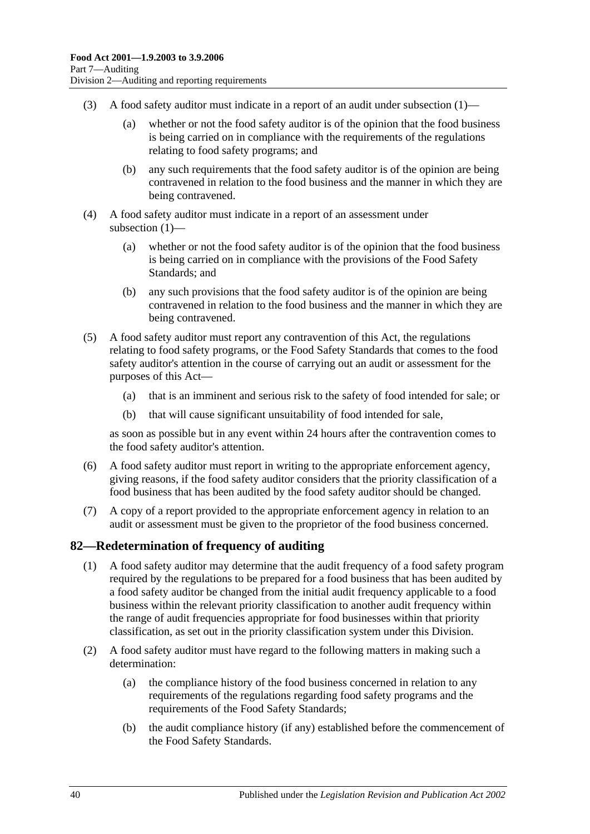- (3) A food safety auditor must indicate in a report of an audit under [subsection](#page-38-3)  $(1)$ 
	- (a) whether or not the food safety auditor is of the opinion that the food business is being carried on in compliance with the requirements of the regulations relating to food safety programs; and
	- (b) any such requirements that the food safety auditor is of the opinion are being contravened in relation to the food business and the manner in which they are being contravened.
- (4) A food safety auditor must indicate in a report of an assessment under [subsection](#page-38-3) (1)—
	- (a) whether or not the food safety auditor is of the opinion that the food business is being carried on in compliance with the provisions of the Food Safety Standards; and
	- (b) any such provisions that the food safety auditor is of the opinion are being contravened in relation to the food business and the manner in which they are being contravened.
- (5) A food safety auditor must report any contravention of this Act, the regulations relating to food safety programs, or the Food Safety Standards that comes to the food safety auditor's attention in the course of carrying out an audit or assessment for the purposes of this Act—
	- (a) that is an imminent and serious risk to the safety of food intended for sale; or
	- (b) that will cause significant unsuitability of food intended for sale,

as soon as possible but in any event within 24 hours after the contravention comes to the food safety auditor's attention.

- (6) A food safety auditor must report in writing to the appropriate enforcement agency, giving reasons, if the food safety auditor considers that the priority classification of a food business that has been audited by the food safety auditor should be changed.
- (7) A copy of a report provided to the appropriate enforcement agency in relation to an audit or assessment must be given to the proprietor of the food business concerned.

#### <span id="page-39-0"></span>**82—Redetermination of frequency of auditing**

- (1) A food safety auditor may determine that the audit frequency of a food safety program required by the regulations to be prepared for a food business that has been audited by a food safety auditor be changed from the initial audit frequency applicable to a food business within the relevant priority classification to another audit frequency within the range of audit frequencies appropriate for food businesses within that priority classification, as set out in the priority classification system under this Division.
- (2) A food safety auditor must have regard to the following matters in making such a determination:
	- (a) the compliance history of the food business concerned in relation to any requirements of the regulations regarding food safety programs and the requirements of the Food Safety Standards;
	- (b) the audit compliance history (if any) established before the commencement of the Food Safety Standards.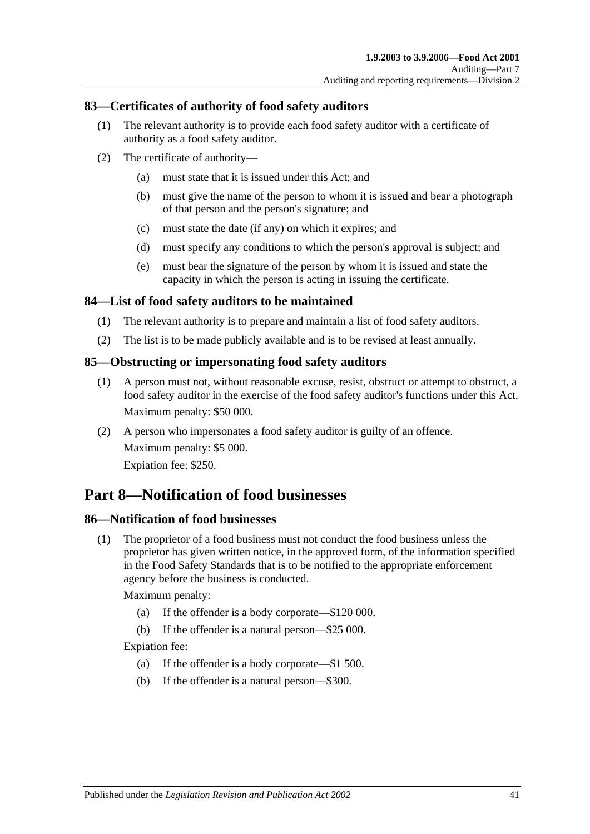### <span id="page-40-0"></span>**83—Certificates of authority of food safety auditors**

- (1) The relevant authority is to provide each food safety auditor with a certificate of authority as a food safety auditor.
- (2) The certificate of authority—
	- (a) must state that it is issued under this Act; and
	- (b) must give the name of the person to whom it is issued and bear a photograph of that person and the person's signature; and
	- (c) must state the date (if any) on which it expires; and
	- (d) must specify any conditions to which the person's approval is subject; and
	- (e) must bear the signature of the person by whom it is issued and state the capacity in which the person is acting in issuing the certificate.

#### <span id="page-40-1"></span>**84—List of food safety auditors to be maintained**

- (1) The relevant authority is to prepare and maintain a list of food safety auditors.
- (2) The list is to be made publicly available and is to be revised at least annually.

#### <span id="page-40-2"></span>**85—Obstructing or impersonating food safety auditors**

- (1) A person must not, without reasonable excuse, resist, obstruct or attempt to obstruct, a food safety auditor in the exercise of the food safety auditor's functions under this Act. Maximum penalty: \$50 000.
- (2) A person who impersonates a food safety auditor is guilty of an offence. Maximum penalty: \$5 000. Expiation fee: \$250.

# <span id="page-40-3"></span>**Part 8—Notification of food businesses**

#### <span id="page-40-5"></span><span id="page-40-4"></span>**86—Notification of food businesses**

(1) The proprietor of a food business must not conduct the food business unless the proprietor has given written notice, in the approved form, of the information specified in the Food Safety Standards that is to be notified to the appropriate enforcement agency before the business is conducted.

#### Maximum penalty:

- (a) If the offender is a body corporate—\$120 000.
- (b) If the offender is a natural person—\$25 000.

Expiation fee:

- (a) If the offender is a body corporate—\$1 500.
- (b) If the offender is a natural person—\$300.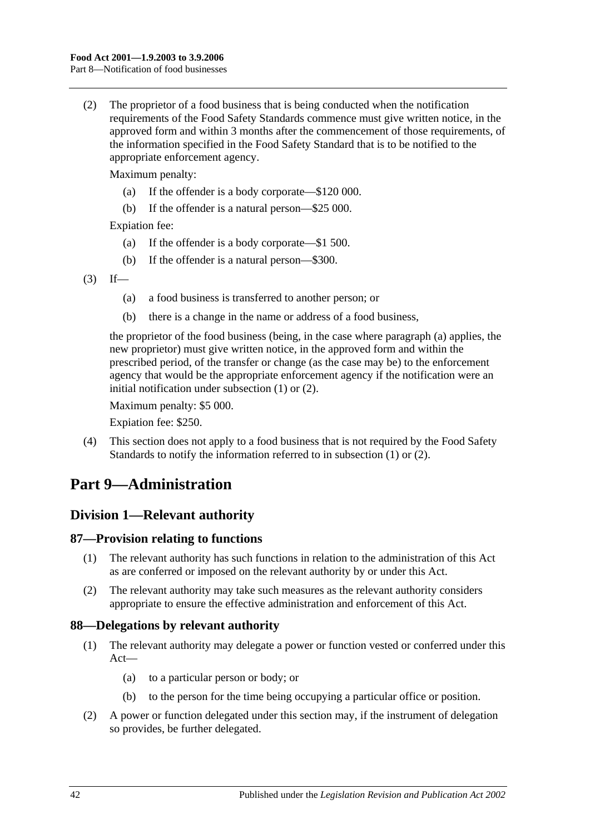<span id="page-41-5"></span>(2) The proprietor of a food business that is being conducted when the notification requirements of the Food Safety Standards commence must give written notice, in the approved form and within 3 months after the commencement of those requirements, of the information specified in the Food Safety Standard that is to be notified to the appropriate enforcement agency.

Maximum penalty:

- (a) If the offender is a body corporate—\$120 000.
- (b) If the offender is a natural person—\$25 000.

Expiation fee:

- (a) If the offender is a body corporate—\$1 500.
- (b) If the offender is a natural person—\$300.
- <span id="page-41-4"></span> $(3)$  If—
	- (a) a food business is transferred to another person; or
	- (b) there is a change in the name or address of a food business,

the proprietor of the food business (being, in the case where [paragraph](#page-41-4) (a) applies, the new proprietor) must give written notice, in the approved form and within the prescribed period, of the transfer or change (as the case may be) to the enforcement agency that would be the appropriate enforcement agency if the notification were an initial notification under [subsection](#page-40-5) (1) or [\(2\).](#page-41-5)

Maximum penalty: \$5 000.

Expiation fee: \$250.

(4) This section does not apply to a food business that is not required by the Food Safety Standards to notify the information referred to in [subsection](#page-40-5) (1) or [\(2\).](#page-41-5)

# <span id="page-41-0"></span>**Part 9—Administration**

# <span id="page-41-1"></span>**Division 1—Relevant authority**

#### <span id="page-41-2"></span>**87—Provision relating to functions**

- (1) The relevant authority has such functions in relation to the administration of this Act as are conferred or imposed on the relevant authority by or under this Act.
- (2) The relevant authority may take such measures as the relevant authority considers appropriate to ensure the effective administration and enforcement of this Act.

#### <span id="page-41-3"></span>**88—Delegations by relevant authority**

- (1) The relevant authority may delegate a power or function vested or conferred under this Act—
	- (a) to a particular person or body; or
	- (b) to the person for the time being occupying a particular office or position.
- (2) A power or function delegated under this section may, if the instrument of delegation so provides, be further delegated.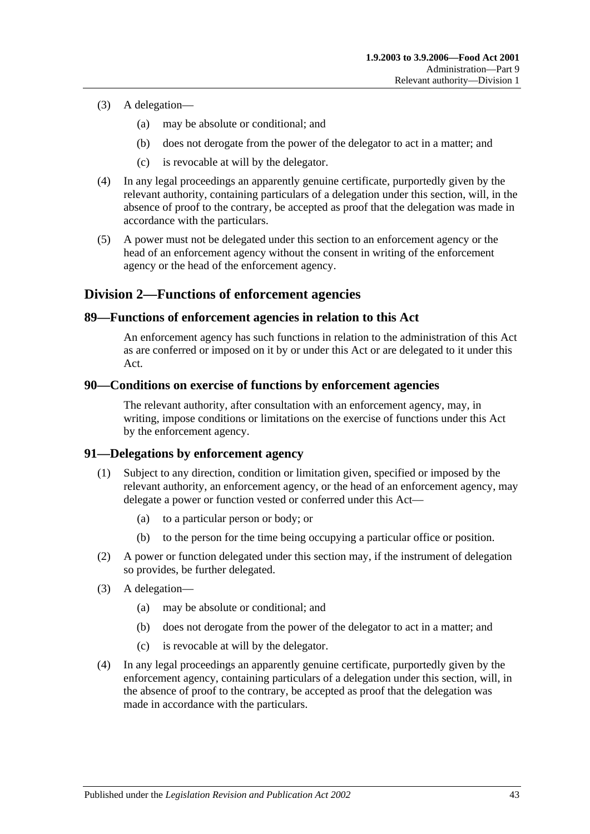- (3) A delegation—
	- (a) may be absolute or conditional; and
	- (b) does not derogate from the power of the delegator to act in a matter; and
	- (c) is revocable at will by the delegator.
- (4) In any legal proceedings an apparently genuine certificate, purportedly given by the relevant authority, containing particulars of a delegation under this section, will, in the absence of proof to the contrary, be accepted as proof that the delegation was made in accordance with the particulars.
- (5) A power must not be delegated under this section to an enforcement agency or the head of an enforcement agency without the consent in writing of the enforcement agency or the head of the enforcement agency.

## <span id="page-42-0"></span>**Division 2—Functions of enforcement agencies**

#### <span id="page-42-1"></span>**89—Functions of enforcement agencies in relation to this Act**

An enforcement agency has such functions in relation to the administration of this Act as are conferred or imposed on it by or under this Act or are delegated to it under this Act.

#### <span id="page-42-2"></span>**90—Conditions on exercise of functions by enforcement agencies**

The relevant authority, after consultation with an enforcement agency, may, in writing, impose conditions or limitations on the exercise of functions under this Act by the enforcement agency.

#### <span id="page-42-3"></span>**91—Delegations by enforcement agency**

- (1) Subject to any direction, condition or limitation given, specified or imposed by the relevant authority, an enforcement agency, or the head of an enforcement agency, may delegate a power or function vested or conferred under this Act—
	- (a) to a particular person or body; or
	- (b) to the person for the time being occupying a particular office or position.
- (2) A power or function delegated under this section may, if the instrument of delegation so provides, be further delegated.
- (3) A delegation—
	- (a) may be absolute or conditional; and
	- (b) does not derogate from the power of the delegator to act in a matter; and
	- (c) is revocable at will by the delegator.
- (4) In any legal proceedings an apparently genuine certificate, purportedly given by the enforcement agency, containing particulars of a delegation under this section, will, in the absence of proof to the contrary, be accepted as proof that the delegation was made in accordance with the particulars.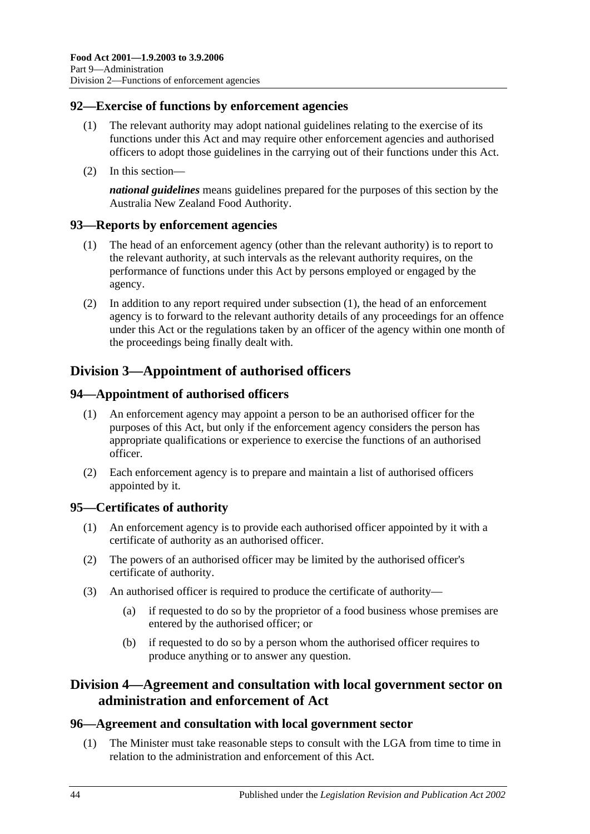### <span id="page-43-0"></span>**92—Exercise of functions by enforcement agencies**

- (1) The relevant authority may adopt national guidelines relating to the exercise of its functions under this Act and may require other enforcement agencies and authorised officers to adopt those guidelines in the carrying out of their functions under this Act.
- (2) In this section—

*national guidelines* means guidelines prepared for the purposes of this section by the Australia New Zealand Food Authority.

#### <span id="page-43-7"></span><span id="page-43-1"></span>**93—Reports by enforcement agencies**

- (1) The head of an enforcement agency (other than the relevant authority) is to report to the relevant authority, at such intervals as the relevant authority requires, on the performance of functions under this Act by persons employed or engaged by the agency.
- (2) In addition to any report required under [subsection](#page-43-7) (1), the head of an enforcement agency is to forward to the relevant authority details of any proceedings for an offence under this Act or the regulations taken by an officer of the agency within one month of the proceedings being finally dealt with.

# <span id="page-43-2"></span>**Division 3—Appointment of authorised officers**

#### <span id="page-43-3"></span>**94—Appointment of authorised officers**

- (1) An enforcement agency may appoint a person to be an authorised officer for the purposes of this Act, but only if the enforcement agency considers the person has appropriate qualifications or experience to exercise the functions of an authorised officer.
- (2) Each enforcement agency is to prepare and maintain a list of authorised officers appointed by it.

#### <span id="page-43-4"></span>**95—Certificates of authority**

- (1) An enforcement agency is to provide each authorised officer appointed by it with a certificate of authority as an authorised officer.
- (2) The powers of an authorised officer may be limited by the authorised officer's certificate of authority.
- (3) An authorised officer is required to produce the certificate of authority—
	- (a) if requested to do so by the proprietor of a food business whose premises are entered by the authorised officer; or
	- (b) if requested to do so by a person whom the authorised officer requires to produce anything or to answer any question.

## <span id="page-43-5"></span>**Division 4—Agreement and consultation with local government sector on administration and enforcement of Act**

#### <span id="page-43-8"></span><span id="page-43-6"></span>**96—Agreement and consultation with local government sector**

(1) The Minister must take reasonable steps to consult with the LGA from time to time in relation to the administration and enforcement of this Act.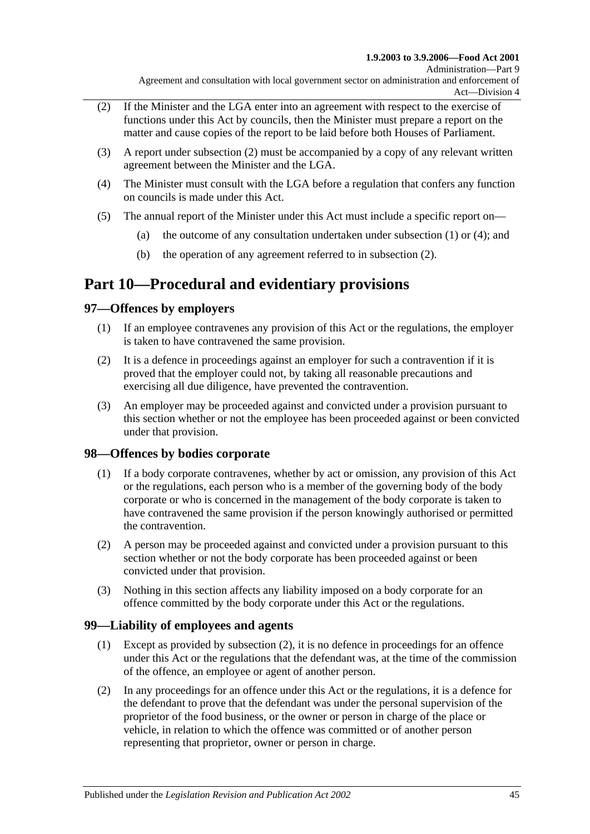- <span id="page-44-4"></span>(2) If the Minister and the LGA enter into an agreement with respect to the exercise of functions under this Act by councils, then the Minister must prepare a report on the matter and cause copies of the report to be laid before both Houses of Parliament.
- (3) A report under [subsection](#page-44-4) (2) must be accompanied by a copy of any relevant written agreement between the Minister and the LGA.
- <span id="page-44-5"></span>(4) The Minister must consult with the LGA before a regulation that confers any function on councils is made under this Act.
- (5) The annual report of the Minister under this Act must include a specific report on
	- (a) the outcome of any consultation undertaken under [subsection](#page-43-8)  $(1)$  or  $(4)$ ; and
	- (b) the operation of any agreement referred to in [subsection](#page-44-4) (2).

# <span id="page-44-0"></span>**Part 10—Procedural and evidentiary provisions**

## <span id="page-44-1"></span>**97—Offences by employers**

- (1) If an employee contravenes any provision of this Act or the regulations, the employer is taken to have contravened the same provision.
- (2) It is a defence in proceedings against an employer for such a contravention if it is proved that the employer could not, by taking all reasonable precautions and exercising all due diligence, have prevented the contravention.
- (3) An employer may be proceeded against and convicted under a provision pursuant to this section whether or not the employee has been proceeded against or been convicted under that provision.

#### <span id="page-44-2"></span>**98—Offences by bodies corporate**

- (1) If a body corporate contravenes, whether by act or omission, any provision of this Act or the regulations, each person who is a member of the governing body of the body corporate or who is concerned in the management of the body corporate is taken to have contravened the same provision if the person knowingly authorised or permitted the contravention.
- (2) A person may be proceeded against and convicted under a provision pursuant to this section whether or not the body corporate has been proceeded against or been convicted under that provision.
- (3) Nothing in this section affects any liability imposed on a body corporate for an offence committed by the body corporate under this Act or the regulations.

#### <span id="page-44-3"></span>**99—Liability of employees and agents**

- (1) Except as provided by [subsection](#page-44-6) (2), it is no defence in proceedings for an offence under this Act or the regulations that the defendant was, at the time of the commission of the offence, an employee or agent of another person.
- <span id="page-44-6"></span>(2) In any proceedings for an offence under this Act or the regulations, it is a defence for the defendant to prove that the defendant was under the personal supervision of the proprietor of the food business, or the owner or person in charge of the place or vehicle, in relation to which the offence was committed or of another person representing that proprietor, owner or person in charge.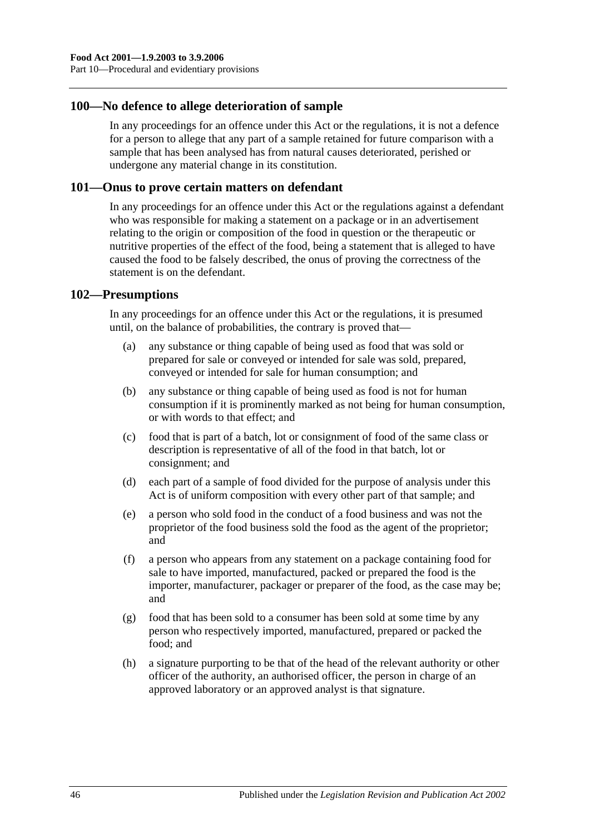#### <span id="page-45-0"></span>**100—No defence to allege deterioration of sample**

In any proceedings for an offence under this Act or the regulations, it is not a defence for a person to allege that any part of a sample retained for future comparison with a sample that has been analysed has from natural causes deteriorated, perished or undergone any material change in its constitution.

#### <span id="page-45-1"></span>**101—Onus to prove certain matters on defendant**

In any proceedings for an offence under this Act or the regulations against a defendant who was responsible for making a statement on a package or in an advertisement relating to the origin or composition of the food in question or the therapeutic or nutritive properties of the effect of the food, being a statement that is alleged to have caused the food to be falsely described, the onus of proving the correctness of the statement is on the defendant.

#### <span id="page-45-2"></span>**102—Presumptions**

In any proceedings for an offence under this Act or the regulations, it is presumed until, on the balance of probabilities, the contrary is proved that—

- (a) any substance or thing capable of being used as food that was sold or prepared for sale or conveyed or intended for sale was sold, prepared, conveyed or intended for sale for human consumption; and
- (b) any substance or thing capable of being used as food is not for human consumption if it is prominently marked as not being for human consumption, or with words to that effect; and
- (c) food that is part of a batch, lot or consignment of food of the same class or description is representative of all of the food in that batch, lot or consignment; and
- (d) each part of a sample of food divided for the purpose of analysis under this Act is of uniform composition with every other part of that sample; and
- (e) a person who sold food in the conduct of a food business and was not the proprietor of the food business sold the food as the agent of the proprietor; and
- (f) a person who appears from any statement on a package containing food for sale to have imported, manufactured, packed or prepared the food is the importer, manufacturer, packager or preparer of the food, as the case may be; and
- (g) food that has been sold to a consumer has been sold at some time by any person who respectively imported, manufactured, prepared or packed the food; and
- (h) a signature purporting to be that of the head of the relevant authority or other officer of the authority, an authorised officer, the person in charge of an approved laboratory or an approved analyst is that signature.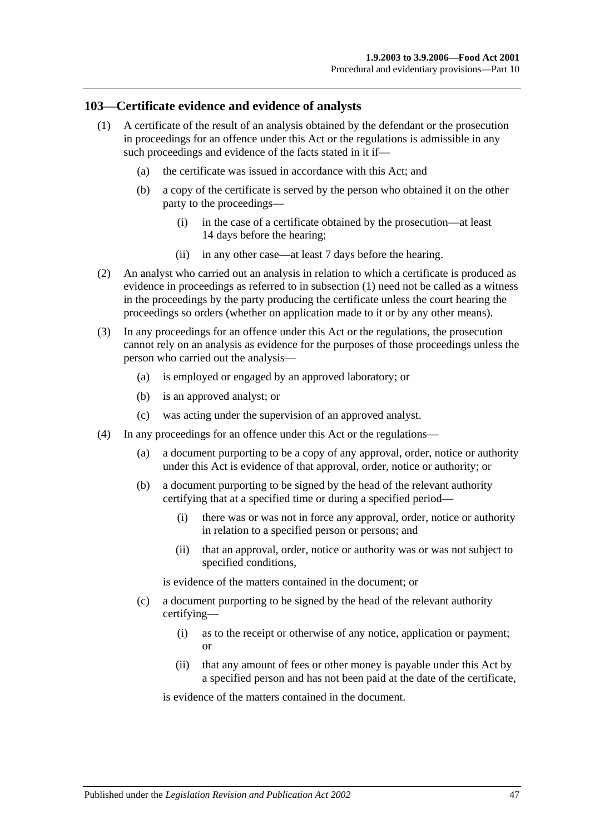#### <span id="page-46-1"></span><span id="page-46-0"></span>**103—Certificate evidence and evidence of analysts**

- (1) A certificate of the result of an analysis obtained by the defendant or the prosecution in proceedings for an offence under this Act or the regulations is admissible in any such proceedings and evidence of the facts stated in it if—
	- (a) the certificate was issued in accordance with this Act; and
	- (b) a copy of the certificate is served by the person who obtained it on the other party to the proceedings—
		- (i) in the case of a certificate obtained by the prosecution—at least 14 days before the hearing;
		- (ii) in any other case—at least 7 days before the hearing.
- (2) An analyst who carried out an analysis in relation to which a certificate is produced as evidence in proceedings as referred to in [subsection](#page-46-1) (1) need not be called as a witness in the proceedings by the party producing the certificate unless the court hearing the proceedings so orders (whether on application made to it or by any other means).
- (3) In any proceedings for an offence under this Act or the regulations, the prosecution cannot rely on an analysis as evidence for the purposes of those proceedings unless the person who carried out the analysis—
	- (a) is employed or engaged by an approved laboratory; or
	- (b) is an approved analyst; or
	- (c) was acting under the supervision of an approved analyst.
- (4) In any proceedings for an offence under this Act or the regulations—
	- (a) a document purporting to be a copy of any approval, order, notice or authority under this Act is evidence of that approval, order, notice or authority; or
	- (b) a document purporting to be signed by the head of the relevant authority certifying that at a specified time or during a specified period—
		- (i) there was or was not in force any approval, order, notice or authority in relation to a specified person or persons; and
		- (ii) that an approval, order, notice or authority was or was not subject to specified conditions,

is evidence of the matters contained in the document; or

- (c) a document purporting to be signed by the head of the relevant authority certifying—
	- (i) as to the receipt or otherwise of any notice, application or payment; or
	- (ii) that any amount of fees or other money is payable under this Act by a specified person and has not been paid at the date of the certificate,

is evidence of the matters contained in the document.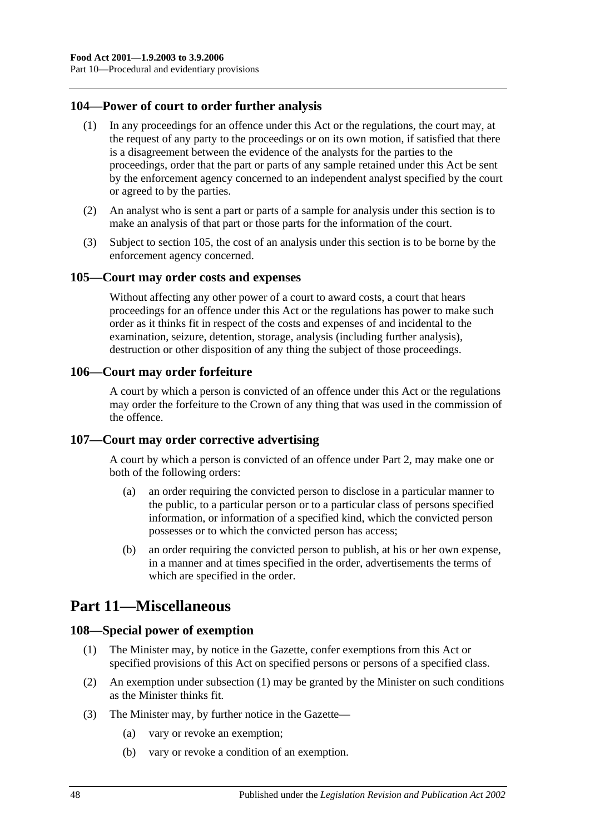### <span id="page-47-0"></span>**104—Power of court to order further analysis**

- (1) In any proceedings for an offence under this Act or the regulations, the court may, at the request of any party to the proceedings or on its own motion, if satisfied that there is a disagreement between the evidence of the analysts for the parties to the proceedings, order that the part or parts of any sample retained under this Act be sent by the enforcement agency concerned to an independent analyst specified by the court or agreed to by the parties.
- (2) An analyst who is sent a part or parts of a sample for analysis under this section is to make an analysis of that part or those parts for the information of the court.
- (3) Subject to [section](#page-47-1) 105, the cost of an analysis under this section is to be borne by the enforcement agency concerned.

#### <span id="page-47-1"></span>**105—Court may order costs and expenses**

Without affecting any other power of a court to award costs, a court that hears proceedings for an offence under this Act or the regulations has power to make such order as it thinks fit in respect of the costs and expenses of and incidental to the examination, seizure, detention, storage, analysis (including further analysis), destruction or other disposition of any thing the subject of those proceedings.

#### <span id="page-47-2"></span>**106—Court may order forfeiture**

A court by which a person is convicted of an offence under this Act or the regulations may order the forfeiture to the Crown of any thing that was used in the commission of the offence.

#### <span id="page-47-3"></span>**107—Court may order corrective advertising**

A court by which a person is convicted of an offence under [Part 2,](#page-10-3) may make one or both of the following orders:

- (a) an order requiring the convicted person to disclose in a particular manner to the public, to a particular person or to a particular class of persons specified information, or information of a specified kind, which the convicted person possesses or to which the convicted person has access;
- (b) an order requiring the convicted person to publish, at his or her own expense, in a manner and at times specified in the order, advertisements the terms of which are specified in the order.

# <span id="page-47-4"></span>**Part 11—Miscellaneous**

#### <span id="page-47-6"></span><span id="page-47-5"></span>**108—Special power of exemption**

- (1) The Minister may, by notice in the Gazette, confer exemptions from this Act or specified provisions of this Act on specified persons or persons of a specified class.
- (2) An exemption under [subsection](#page-47-6) (1) may be granted by the Minister on such conditions as the Minister thinks fit.
- (3) The Minister may, by further notice in the Gazette—
	- (a) vary or revoke an exemption;
	- (b) vary or revoke a condition of an exemption.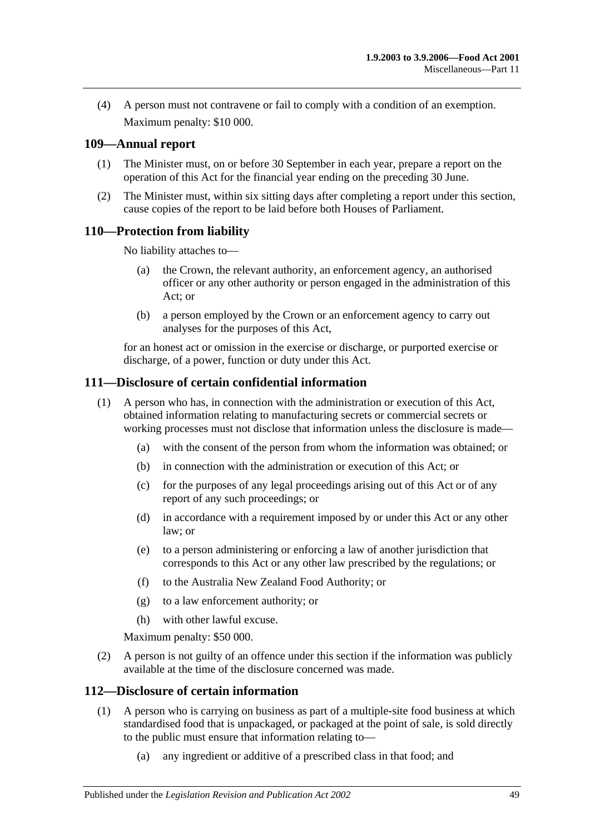(4) A person must not contravene or fail to comply with a condition of an exemption. Maximum penalty: \$10 000.

### <span id="page-48-0"></span>**109—Annual report**

- (1) The Minister must, on or before 30 September in each year, prepare a report on the operation of this Act for the financial year ending on the preceding 30 June.
- (2) The Minister must, within six sitting days after completing a report under this section, cause copies of the report to be laid before both Houses of Parliament.

## <span id="page-48-1"></span>**110—Protection from liability**

No liability attaches to—

- (a) the Crown, the relevant authority, an enforcement agency, an authorised officer or any other authority or person engaged in the administration of this Act; or
- (b) a person employed by the Crown or an enforcement agency to carry out analyses for the purposes of this Act,

for an honest act or omission in the exercise or discharge, or purported exercise or discharge, of a power, function or duty under this Act.

#### <span id="page-48-2"></span>**111—Disclosure of certain confidential information**

- (1) A person who has, in connection with the administration or execution of this Act, obtained information relating to manufacturing secrets or commercial secrets or working processes must not disclose that information unless the disclosure is made—
	- (a) with the consent of the person from whom the information was obtained; or
	- (b) in connection with the administration or execution of this Act; or
	- (c) for the purposes of any legal proceedings arising out of this Act or of any report of any such proceedings; or
	- (d) in accordance with a requirement imposed by or under this Act or any other law; or
	- (e) to a person administering or enforcing a law of another jurisdiction that corresponds to this Act or any other law prescribed by the regulations; or
	- (f) to the Australia New Zealand Food Authority; or
	- (g) to a law enforcement authority; or
	- (h) with other lawful excuse.

Maximum penalty: \$50 000.

(2) A person is not guilty of an offence under this section if the information was publicly available at the time of the disclosure concerned was made.

#### <span id="page-48-4"></span><span id="page-48-3"></span>**112—Disclosure of certain information**

- (1) A person who is carrying on business as part of a multiple-site food business at which standardised food that is unpackaged, or packaged at the point of sale, is sold directly to the public must ensure that information relating to—
	- (a) any ingredient or additive of a prescribed class in that food; and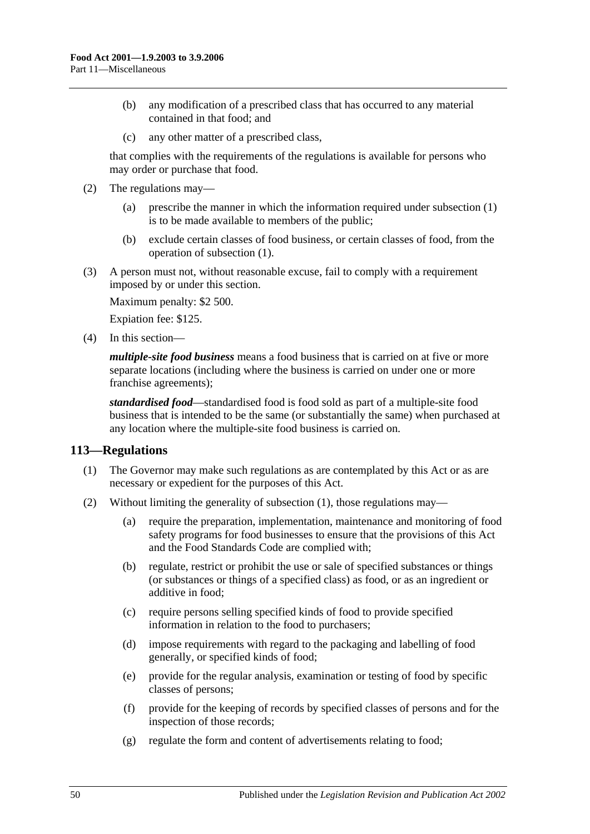- (b) any modification of a prescribed class that has occurred to any material contained in that food; and
- (c) any other matter of a prescribed class,

that complies with the requirements of the regulations is available for persons who may order or purchase that food.

- (2) The regulations may—
	- (a) prescribe the manner in which the information required under [subsection](#page-48-4) (1) is to be made available to members of the public;
	- (b) exclude certain classes of food business, or certain classes of food, from the operation of [subsection](#page-48-4) (1).

(3) A person must not, without reasonable excuse, fail to comply with a requirement imposed by or under this section.

Maximum penalty: \$2 500.

Expiation fee: \$125.

(4) In this section—

*multiple-site food business* means a food business that is carried on at five or more separate locations (including where the business is carried on under one or more franchise agreements);

*standardised food*—standardised food is food sold as part of a multiple-site food business that is intended to be the same (or substantially the same) when purchased at any location where the multiple-site food business is carried on.

#### <span id="page-49-1"></span><span id="page-49-0"></span>**113—Regulations**

- (1) The Governor may make such regulations as are contemplated by this Act or as are necessary or expedient for the purposes of this Act.
- (2) Without limiting the generality of [subsection](#page-49-1) (1), those regulations may—
	- (a) require the preparation, implementation, maintenance and monitoring of food safety programs for food businesses to ensure that the provisions of this Act and the Food Standards Code are complied with;
	- (b) regulate, restrict or prohibit the use or sale of specified substances or things (or substances or things of a specified class) as food, or as an ingredient or additive in food;
	- (c) require persons selling specified kinds of food to provide specified information in relation to the food to purchasers;
	- (d) impose requirements with regard to the packaging and labelling of food generally, or specified kinds of food;
	- (e) provide for the regular analysis, examination or testing of food by specific classes of persons;
	- (f) provide for the keeping of records by specified classes of persons and for the inspection of those records;
	- (g) regulate the form and content of advertisements relating to food;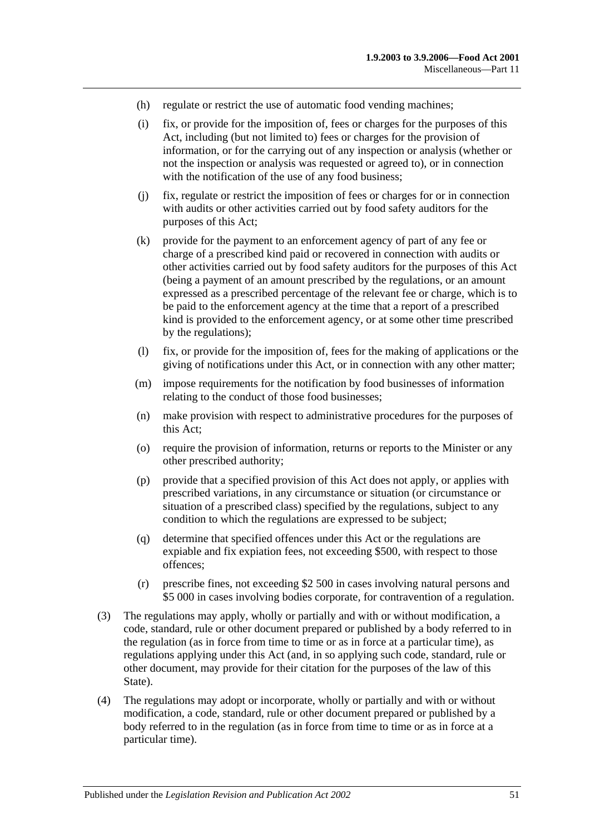- (h) regulate or restrict the use of automatic food vending machines;
- (i) fix, or provide for the imposition of, fees or charges for the purposes of this Act, including (but not limited to) fees or charges for the provision of information, or for the carrying out of any inspection or analysis (whether or not the inspection or analysis was requested or agreed to), or in connection with the notification of the use of any food business;
- (j) fix, regulate or restrict the imposition of fees or charges for or in connection with audits or other activities carried out by food safety auditors for the purposes of this Act;
- (k) provide for the payment to an enforcement agency of part of any fee or charge of a prescribed kind paid or recovered in connection with audits or other activities carried out by food safety auditors for the purposes of this Act (being a payment of an amount prescribed by the regulations, or an amount expressed as a prescribed percentage of the relevant fee or charge, which is to be paid to the enforcement agency at the time that a report of a prescribed kind is provided to the enforcement agency, or at some other time prescribed by the regulations);
- (l) fix, or provide for the imposition of, fees for the making of applications or the giving of notifications under this Act, or in connection with any other matter;
- (m) impose requirements for the notification by food businesses of information relating to the conduct of those food businesses;
- (n) make provision with respect to administrative procedures for the purposes of this Act;
- (o) require the provision of information, returns or reports to the Minister or any other prescribed authority;
- (p) provide that a specified provision of this Act does not apply, or applies with prescribed variations, in any circumstance or situation (or circumstance or situation of a prescribed class) specified by the regulations, subject to any condition to which the regulations are expressed to be subject;
- (q) determine that specified offences under this Act or the regulations are expiable and fix expiation fees, not exceeding \$500, with respect to those offences;
- (r) prescribe fines, not exceeding \$2 500 in cases involving natural persons and \$5 000 in cases involving bodies corporate, for contravention of a regulation.
- (3) The regulations may apply, wholly or partially and with or without modification, a code, standard, rule or other document prepared or published by a body referred to in the regulation (as in force from time to time or as in force at a particular time), as regulations applying under this Act (and, in so applying such code, standard, rule or other document, may provide for their citation for the purposes of the law of this State).
- (4) The regulations may adopt or incorporate, wholly or partially and with or without modification, a code, standard, rule or other document prepared or published by a body referred to in the regulation (as in force from time to time or as in force at a particular time).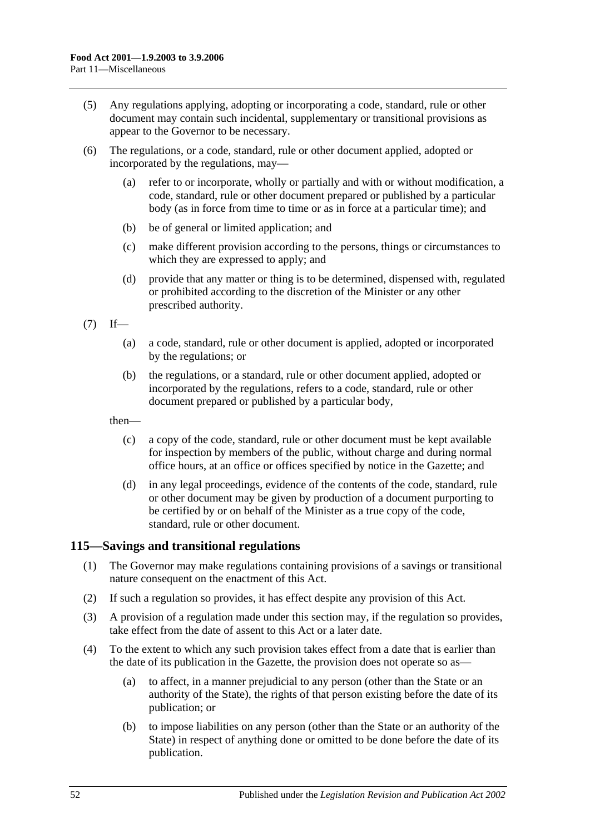- (5) Any regulations applying, adopting or incorporating a code, standard, rule or other document may contain such incidental, supplementary or transitional provisions as appear to the Governor to be necessary.
- (6) The regulations, or a code, standard, rule or other document applied, adopted or incorporated by the regulations, may—
	- (a) refer to or incorporate, wholly or partially and with or without modification, a code, standard, rule or other document prepared or published by a particular body (as in force from time to time or as in force at a particular time); and
	- (b) be of general or limited application; and
	- (c) make different provision according to the persons, things or circumstances to which they are expressed to apply; and
	- (d) provide that any matter or thing is to be determined, dispensed with, regulated or prohibited according to the discretion of the Minister or any other prescribed authority.

 $(7)$  If—

- (a) a code, standard, rule or other document is applied, adopted or incorporated by the regulations; or
- (b) the regulations, or a standard, rule or other document applied, adopted or incorporated by the regulations, refers to a code, standard, rule or other document prepared or published by a particular body,

then—

- (c) a copy of the code, standard, rule or other document must be kept available for inspection by members of the public, without charge and during normal office hours, at an office or offices specified by notice in the Gazette; and
- (d) in any legal proceedings, evidence of the contents of the code, standard, rule or other document may be given by production of a document purporting to be certified by or on behalf of the Minister as a true copy of the code, standard, rule or other document.

#### <span id="page-51-0"></span>**115—Savings and transitional regulations**

- (1) The Governor may make regulations containing provisions of a savings or transitional nature consequent on the enactment of this Act.
- (2) If such a regulation so provides, it has effect despite any provision of this Act.
- (3) A provision of a regulation made under this section may, if the regulation so provides, take effect from the date of assent to this Act or a later date.
- (4) To the extent to which any such provision takes effect from a date that is earlier than the date of its publication in the Gazette, the provision does not operate so as—
	- (a) to affect, in a manner prejudicial to any person (other than the State or an authority of the State), the rights of that person existing before the date of its publication; or
	- (b) to impose liabilities on any person (other than the State or an authority of the State) in respect of anything done or omitted to be done before the date of its publication.